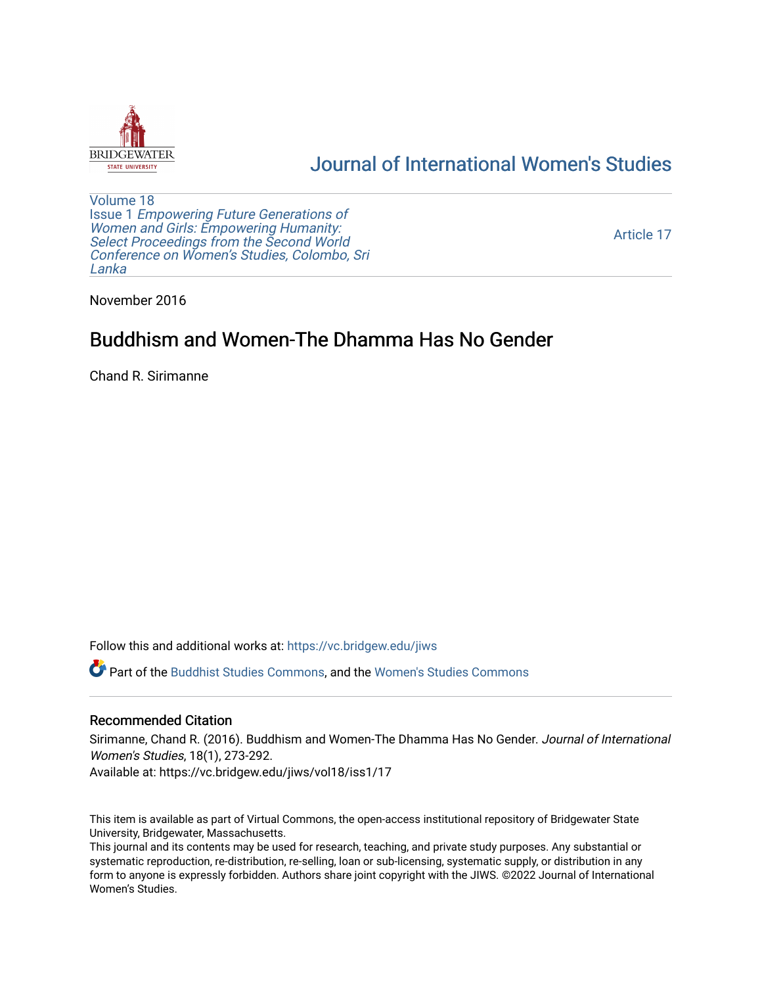

## [Journal of International Women's Studies](https://vc.bridgew.edu/jiws)

[Volume 18](https://vc.bridgew.edu/jiws/vol18) Issue 1 [Empowering Future Generations of](https://vc.bridgew.edu/jiws/vol18/iss1) [Women and Girls: Empowering Humanity:](https://vc.bridgew.edu/jiws/vol18/iss1) Select Proceedings from the Second World [Conference on Women's Studies, Colombo, Sri](https://vc.bridgew.edu/jiws/vol18/iss1)  [Lanka](https://vc.bridgew.edu/jiws/vol18/iss1) 

[Article 17](https://vc.bridgew.edu/jiws/vol18/iss1/17) 

November 2016

# Buddhism and Women-The Dhamma Has No Gender

Chand R. Sirimanne

Follow this and additional works at: [https://vc.bridgew.edu/jiws](https://vc.bridgew.edu/jiws?utm_source=vc.bridgew.edu%2Fjiws%2Fvol18%2Fiss1%2F17&utm_medium=PDF&utm_campaign=PDFCoverPages)

Part of the [Buddhist Studies Commons,](http://network.bepress.com/hgg/discipline/1344?utm_source=vc.bridgew.edu%2Fjiws%2Fvol18%2Fiss1%2F17&utm_medium=PDF&utm_campaign=PDFCoverPages) and the [Women's Studies Commons](http://network.bepress.com/hgg/discipline/561?utm_source=vc.bridgew.edu%2Fjiws%2Fvol18%2Fiss1%2F17&utm_medium=PDF&utm_campaign=PDFCoverPages)

#### Recommended Citation

Sirimanne, Chand R. (2016). Buddhism and Women-The Dhamma Has No Gender. Journal of International Women's Studies, 18(1), 273-292.

Available at: https://vc.bridgew.edu/jiws/vol18/iss1/17

This item is available as part of Virtual Commons, the open-access institutional repository of Bridgewater State University, Bridgewater, Massachusetts.

This journal and its contents may be used for research, teaching, and private study purposes. Any substantial or systematic reproduction, re-distribution, re-selling, loan or sub-licensing, systematic supply, or distribution in any form to anyone is expressly forbidden. Authors share joint copyright with the JIWS. ©2022 Journal of International Women's Studies.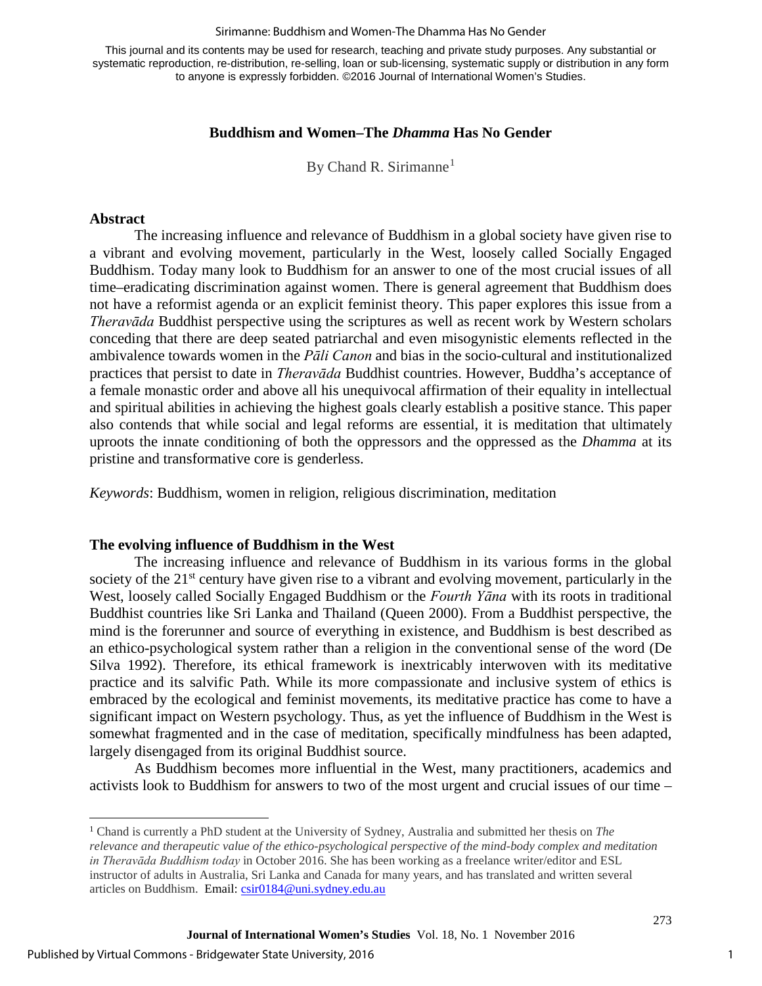#### Sirimanne: Buddhism and Women-The Dhamma Has No Gender

This journal and its contents may be used for research, teaching and private study purposes. Any substantial or systematic reproduction, re-distribution, re-selling, loan or sub-licensing, systematic supply or distribution in any form to anyone is expressly forbidden. ©2016 Journal of International Women's Studies.

### **Buddhism and Women–The** *Dhamma* **Has No Gender**

By Chand R. Sirimanne<sup>[1](#page-1-0)</sup>

#### **Abstract**

The increasing influence and relevance of Buddhism in a global society have given rise to a vibrant and evolving movement, particularly in the West, loosely called Socially Engaged Buddhism. Today many look to Buddhism for an answer to one of the most crucial issues of all time–eradicating discrimination against women. There is general agreement that Buddhism does not have a reformist agenda or an explicit feminist theory. This paper explores this issue from a *Theravāda* Buddhist perspective using the scriptures as well as recent work by Western scholars conceding that there are deep seated patriarchal and even misogynistic elements reflected in the ambivalence towards women in the *Pāli Canon* and bias in the socio-cultural and institutionalized practices that persist to date in *Theravāda* Buddhist countries. However, Buddha's acceptance of a female monastic order and above all his unequivocal affirmation of their equality in intellectual and spiritual abilities in achieving the highest goals clearly establish a positive stance. This paper also contends that while social and legal reforms are essential, it is meditation that ultimately uproots the innate conditioning of both the oppressors and the oppressed as the *Dhamma* at its pristine and transformative core is genderless.

*Keywords*: Buddhism, women in religion, religious discrimination, meditation

#### **The evolving influence of Buddhism in the West**

The increasing influence and relevance of Buddhism in its various forms in the global society of the  $21<sup>st</sup>$  century have given rise to a vibrant and evolving movement, particularly in the West, loosely called Socially Engaged Buddhism or the *Fourth Yāna* with its roots in traditional Buddhist countries like Sri Lanka and Thailand (Queen 2000). From a Buddhist perspective, the mind is the forerunner and source of everything in existence, and Buddhism is best described as an ethico-psychological system rather than a religion in the conventional sense of the word (De Silva 1992). Therefore, its ethical framework is inextricably interwoven with its meditative practice and its salvific Path. While its more compassionate and inclusive system of ethics is embraced by the ecological and feminist movements, its meditative practice has come to have a significant impact on Western psychology. Thus, as yet the influence of Buddhism in the West is somewhat fragmented and in the case of meditation, specifically mindfulness has been adapted, largely disengaged from its original Buddhist source.

As Buddhism becomes more influential in the West, many practitioners, academics and activists look to Buddhism for answers to two of the most urgent and crucial issues of our time –

 $\overline{\phantom{a}}$ 

1

<span id="page-1-0"></span><sup>1</sup> Chand is currently a PhD student at the University of Sydney, Australia and submitted her thesis on *The relevance and therapeutic value of the ethico-psychological perspective of the mind-body complex and meditation in Theravāda Buddhism today* in October 2016. She has been working as a freelance writer/editor and ESL instructor of adults in Australia, Sri Lanka and Canada for many years, and has translated and written several articles on Buddhism. Email[: csir0184@uni.sydney.edu.au](mailto:csir0184@uni.sydney.edu.au)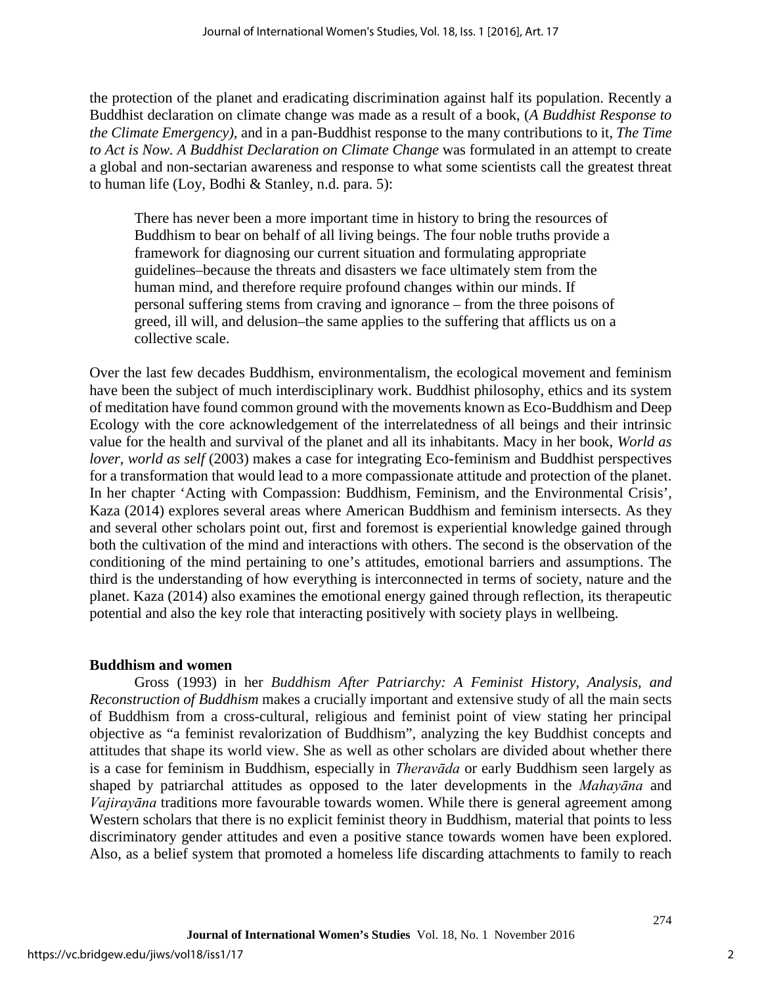the protection of the planet and eradicating discrimination against half its population. Recently a Buddhist declaration on climate change was made as a result of a book, (*A Buddhist Response to the Climate Emergency),* and in a pan-Buddhist response to the many contributions to it, *The Time to Act is Now. A Buddhist Declaration on Climate Change* was formulated in an attempt to create a global and non-sectarian awareness and response to what some scientists call the greatest threat to human life (Loy, Bodhi & Stanley, n.d. para. 5):

There has never been a more important time in history to bring the resources of Buddhism to bear on behalf of all living beings. The four noble truths provide a framework for diagnosing our current situation and formulating appropriate guidelines–because the threats and disasters we face ultimately stem from the human mind, and therefore require profound changes within our minds. If personal suffering stems from craving and ignorance – from the three poisons of greed, ill will, and delusion–the same applies to the suffering that afflicts us on a collective scale.

Over the last few decades Buddhism, environmentalism, the ecological movement and feminism have been the subject of much interdisciplinary work. Buddhist philosophy, ethics and its system of meditation have found common ground with the movements known as Eco-Buddhism and Deep Ecology with the core acknowledgement of the interrelatedness of all beings and their intrinsic value for the health and survival of the planet and all its inhabitants. Macy in her book, *World as lover, world as self* (2003) makes a case for integrating Eco-feminism and Buddhist perspectives for a transformation that would lead to a more compassionate attitude and protection of the planet. In her chapter 'Acting with Compassion: Buddhism, Feminism, and the Environmental Crisis'*,* Kaza (2014) explores several areas where American Buddhism and feminism intersects. As they and several other scholars point out, first and foremost is experiential knowledge gained through both the cultivation of the mind and interactions with others. The second is the observation of the conditioning of the mind pertaining to one's attitudes, emotional barriers and assumptions. The third is the understanding of how everything is interconnected in terms of society, nature and the planet. Kaza (2014) also examines the emotional energy gained through reflection, its therapeutic potential and also the key role that interacting positively with society plays in wellbeing.

## **Buddhism and women**

Gross (1993) in her *Buddhism After Patriarchy: A Feminist History, Analysis, and Reconstruction of Buddhism* makes a crucially important and extensive study of all the main sects of Buddhism from a cross-cultural, religious and feminist point of view stating her principal objective as "a feminist revalorization of Buddhism", analyzing the key Buddhist concepts and attitudes that shape its world view. She as well as other scholars are divided about whether there is a case for feminism in Buddhism, especially in *Theravāda* or early Buddhism seen largely as shaped by patriarchal attitudes as opposed to the later developments in the *Mahayāna* and *Vajirayāna* traditions more favourable towards women. While there is general agreement among Western scholars that there is no explicit feminist theory in Buddhism, material that points to less discriminatory gender attitudes and even a positive stance towards women have been explored. Also, as a belief system that promoted a homeless life discarding attachments to family to reach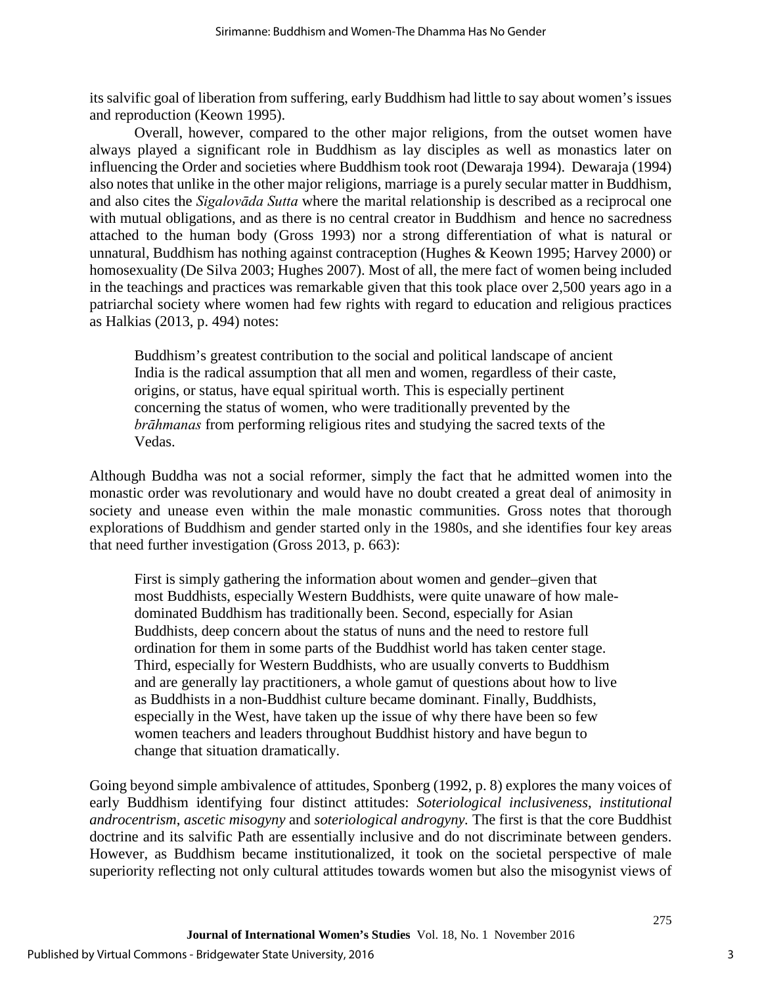its salvific goal of liberation from suffering, early Buddhism had little to say about women's issues and reproduction (Keown 1995).

Overall, however, compared to the other major religions, from the outset women have always played a significant role in Buddhism as lay disciples as well as monastics later on influencing the Order and societies where Buddhism took root (Dewaraja 1994). Dewaraja (1994) also notes that unlike in the other major religions, marriage is a purely secular matter in Buddhism, and also cites the *Sigalovāda Sutta* where the marital relationship is described as a reciprocal one with mutual obligations, and as there is no central creator in Buddhism and hence no sacredness attached to the human body (Gross 1993) nor a strong differentiation of what is natural or unnatural, Buddhism has nothing against contraception (Hughes & Keown 1995; Harvey 2000) or homosexuality (De Silva 2003; Hughes 2007). Most of all, the mere fact of women being included in the teachings and practices was remarkable given that this took place over 2,500 years ago in a patriarchal society where women had few rights with regard to education and religious practices as Halkias (2013, p. 494) notes:

Buddhism's greatest contribution to the social and political landscape of ancient India is the radical assumption that all men and women, regardless of their caste, origins, or status, have equal spiritual worth. This is especially pertinent concerning the status of women, who were traditionally prevented by the *brāhmanas* from performing religious rites and studying the sacred texts of the Vedas.

Although Buddha was not a social reformer, simply the fact that he admitted women into the monastic order was revolutionary and would have no doubt created a great deal of animosity in society and unease even within the male monastic communities. Gross notes that thorough explorations of Buddhism and gender started only in the 1980s, and she identifies four key areas that need further investigation (Gross 2013, p. 663):

First is simply gathering the information about women and gender–given that most Buddhists, especially Western Buddhists, were quite unaware of how maledominated Buddhism has traditionally been. Second, especially for Asian Buddhists, deep concern about the status of nuns and the need to restore full ordination for them in some parts of the Buddhist world has taken center stage. Third, especially for Western Buddhists, who are usually converts to Buddhism and are generally lay practitioners, a whole gamut of questions about how to live as Buddhists in a non-Buddhist culture became dominant. Finally, Buddhists, especially in the West, have taken up the issue of why there have been so few women teachers and leaders throughout Buddhist history and have begun to change that situation dramatically.

Going beyond simple ambivalence of attitudes, Sponberg (1992, p. 8) explores the many voices of early Buddhism identifying four distinct attitudes: *Soteriological inclusiveness*, *institutional androcentrism*, *ascetic misogyny* and *soteriological androgyny.* The first is that the core Buddhist doctrine and its salvific Path are essentially inclusive and do not discriminate between genders. However, as Buddhism became institutionalized, it took on the societal perspective of male superiority reflecting not only cultural attitudes towards women but also the misogynist views of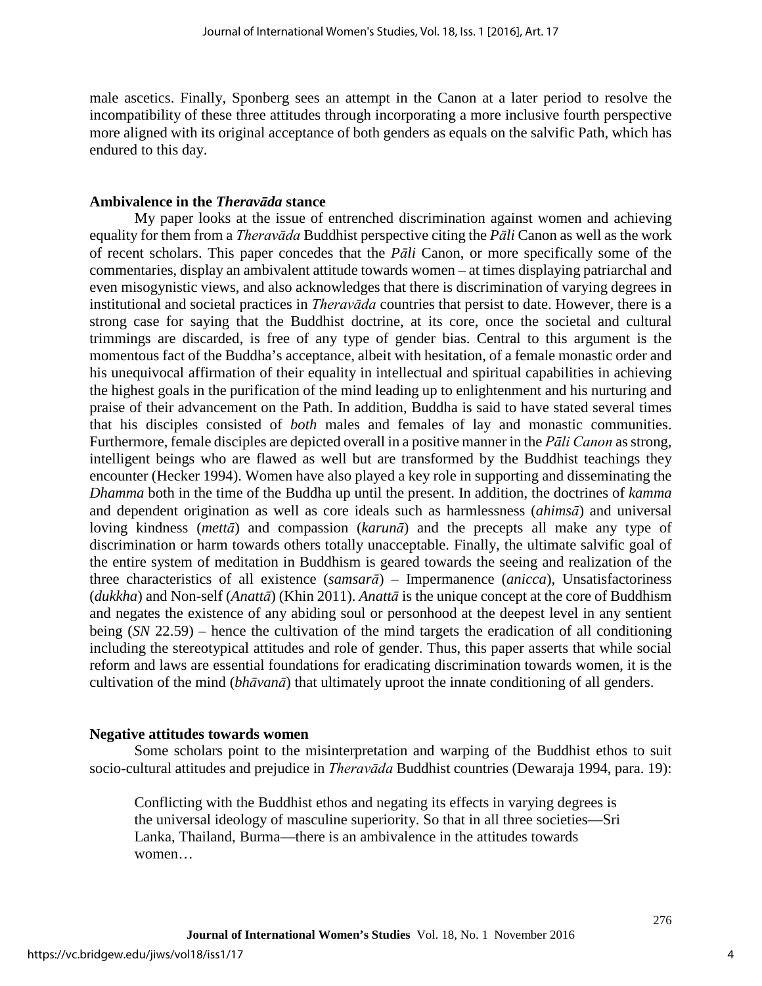male ascetics. Finally, Sponberg sees an attempt in the Canon at a later period to resolve the incompatibility of these three attitudes through incorporating a more inclusive fourth perspective more aligned with its original acceptance of both genders as equals on the salvific Path, which has endured to this day.

#### **Ambivalence in the** *Theravāda* **stance**

My paper looks at the issue of entrenched discrimination against women and achieving equality for them from a *Theravāda* Buddhist perspective citing the *Pāli* Canon as well as the work of recent scholars. This paper concedes that the *Pāli* Canon, or more specifically some of the commentaries, display an ambivalent attitude towards women – at times displaying patriarchal and even misogynistic views, and also acknowledges that there is discrimination of varying degrees in institutional and societal practices in *Theravāda* countries that persist to date. However, there is a strong case for saying that the Buddhist doctrine, at its core, once the societal and cultural trimmings are discarded, is free of any type of gender bias. Central to this argument is the momentous fact of the Buddha's acceptance, albeit with hesitation, of a female monastic order and his unequivocal affirmation of their equality in intellectual and spiritual capabilities in achieving the highest goals in the purification of the mind leading up to enlightenment and his nurturing and praise of their advancement on the Path. In addition, Buddha is said to have stated several times that his disciples consisted of *both* males and females of lay and monastic communities. Furthermore, female disciples are depicted overall in a positive manner in the *Pāli Canon* as strong, intelligent beings who are flawed as well but are transformed by the Buddhist teachings they encounter (Hecker 1994). Women have also played a key role in supporting and disseminating the *Dhamma* both in the time of the Buddha up until the present. In addition, the doctrines of *kamma* and dependent origination as well as core ideals such as harmlessness (*ahimsā*) and universal loving kindness (*mettā*) and compassion (*karunā*) and the precepts all make any type of discrimination or harm towards others totally unacceptable. Finally, the ultimate salvific goal of the entire system of meditation in Buddhism is geared towards the seeing and realization of the three characteristics of all existence (*samsarā*) – Impermanence (*anicca*), Unsatisfactoriness (*dukkha*) and Non-self (*Anattā*) (Khin 2011). *Anattā* is the unique concept at the core of Buddhism and negates the existence of any abiding soul or personhood at the deepest level in any sentient being (*SN* 22.59) – hence the cultivation of the mind targets the eradication of all conditioning including the stereotypical attitudes and role of gender. Thus, this paper asserts that while social reform and laws are essential foundations for eradicating discrimination towards women, it is the cultivation of the mind (*bhāvanā*) that ultimately uproot the innate conditioning of all genders.

#### **Negative attitudes towards women**

Some scholars point to the misinterpretation and warping of the Buddhist ethos to suit socio-cultural attitudes and prejudice in *Theravāda* Buddhist countries (Dewaraja 1994, para. 19):

Conflicting with the Buddhist ethos and negating its effects in varying degrees is the universal ideology of masculine superiority. So that in all three societies—Sri Lanka, Thailand, Burma—there is an ambivalence in the attitudes towards women…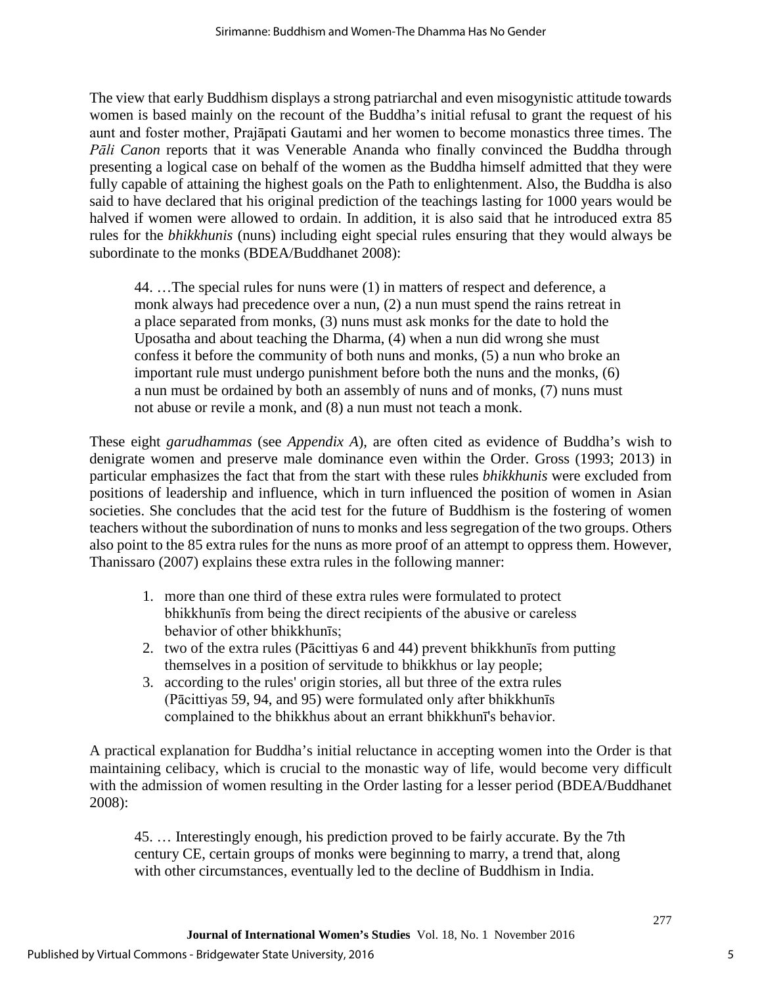The view that early Buddhism displays a strong patriarchal and even misogynistic attitude towards women is based mainly on the recount of the Buddha's initial refusal to grant the request of his aunt and foster mother, Prajāpati Gautami and her women to become monastics three times. The *Pāli Canon* reports that it was Venerable Ananda who finally convinced the Buddha through presenting a logical case on behalf of the women as the Buddha himself admitted that they were fully capable of attaining the highest goals on the Path to enlightenment. Also, the Buddha is also said to have declared that his original prediction of the teachings lasting for 1000 years would be halved if women were allowed to ordain. In addition, it is also said that he introduced extra 85 rules for the *bhikkhunis* (nuns) including eight special rules ensuring that they would always be subordinate to the monks (BDEA/Buddhanet 2008):

44. …The special rules for nuns were (1) in matters of respect and deference, a monk always had precedence over a nun, (2) a nun must spend the rains retreat in a place separated from monks, (3) nuns must ask monks for the date to hold the Uposatha and about teaching the Dharma, (4) when a nun did wrong she must confess it before the community of both nuns and monks, (5) a nun who broke an important rule must undergo punishment before both the nuns and the monks, (6) a nun must be ordained by both an assembly of nuns and of monks, (7) nuns must not abuse or revile a monk, and (8) a nun must not teach a monk.

These eight *garudhammas* (see *Appendix A*), are often cited as evidence of Buddha's wish to denigrate women and preserve male dominance even within the Order. Gross (1993; 2013) in particular emphasizes the fact that from the start with these rules *bhikkhunis* were excluded from positions of leadership and influence, which in turn influenced the position of women in Asian societies. She concludes that the acid test for the future of Buddhism is the fostering of women teachers without the subordination of nuns to monks and less segregation of the two groups. Others also point to the 85 extra rules for the nuns as more proof of an attempt to oppress them. However, Thanissaro (2007) explains these extra rules in the following manner:

- 1. more than one third of these extra rules were formulated to protect bhikkhunīs from being the direct recipients of the abusive or careless behavior of other bhikkhunīs;
- 2. two of the extra rules (Pācittiyas [6](http://www.accesstoinsight.org/tipitaka/vin/sv/bhikkhuni-pati.html#pc-6) and [44\)](http://www.accesstoinsight.org/tipitaka/vin/sv/bhikkhuni-pati.html#pc-44) prevent bhikkhunīs from putting themselves in a position of servitude to bhikkhus or lay people;
- 3. according to the rules' origin stories, all but three of the extra rules (Pācittiyas [59,](http://www.accesstoinsight.org/tipitaka/vin/sv/bhikkhuni-pati.html#pc-59) [94,](http://www.accesstoinsight.org/tipitaka/vin/sv/bhikkhuni-pati.html#pc-94) and [95\)](http://www.accesstoinsight.org/tipitaka/vin/sv/bhikkhuni-pati.html#pc-95) were formulated only after bhikkhunīs complained to the bhikkhus about an errant bhikkhunī's behavior.

A practical explanation for Buddha's initial reluctance in accepting women into the Order is that maintaining celibacy, which is crucial to the monastic way of life, would become very difficult with the admission of women resulting in the Order lasting for a lesser period (BDEA/Buddhanet 2008):

45. … Interestingly enough, his prediction proved to be fairly accurate. By the 7th century CE, certain groups of monks were beginning to marry, a trend that, along with other circumstances, eventually led to the decline of Buddhism in India.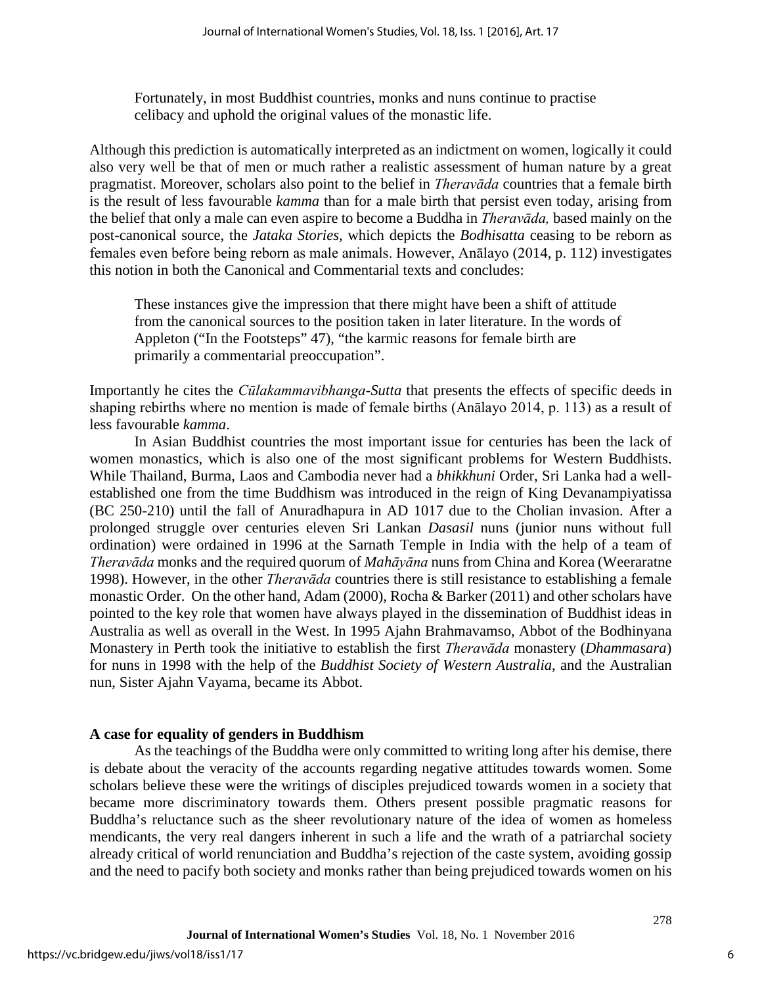Fortunately, in most Buddhist countries, monks and nuns continue to practise celibacy and uphold the original values of the monastic life.

Although this prediction is automatically interpreted as an indictment on women, logically it could also very well be that of men or much rather a realistic assessment of human nature by a great pragmatist. Moreover, scholars also point to the belief in *Theravāda* countries that a female birth is the result of less favourable *kamma* than for a male birth that persist even today, arising from the belief that only a male can even aspire to become a Buddha in *Theravāda,* based mainly on the post-canonical source, the *Jataka Stories,* which depicts the *Bodhisatta* ceasing to be reborn as females even before being reborn as male animals. However, Anālayo (2014, p. 112) investigates this notion in both the Canonical and Commentarial texts and concludes:

These instances give the impression that there might have been a shift of attitude from the canonical sources to the position taken in later literature. In the words of Appleton ("In the Footsteps" 47), "the karmic reasons for female birth are primarily a commentarial preoccupation".

Importantly he cites the *Cūlakammavibhanga-Sutta* that presents the effects of specific deeds in shaping rebirths where no mention is made of female births (Anālayo 2014, p. 113) as a result of less favourable *kamma*.

In Asian Buddhist countries the most important issue for centuries has been the lack of women monastics, which is also one of the most significant problems for Western Buddhists. While Thailand, Burma, Laos and Cambodia never had a *bhikkhuni* Order, Sri Lanka had a wellestablished one from the time Buddhism was introduced in the reign of King Devanampiyatissa (BC 250-210) until the fall of Anuradhapura in AD 1017 due to the Cholian invasion. After a prolonged struggle over centuries eleven Sri Lankan *Dasasil* nuns (junior nuns without full ordination) were ordained in 1996 at the Sarnath Temple in India with the help of a team of *Theravāda* monks and the required quorum of *Mahāyāna* nuns from China and Korea (Weeraratne 1998). However, in the other *Theravāda* countries there is still resistance to establishing a female monastic Order. On the other hand, Adam (2000), Rocha & Barker (2011) and other scholars have pointed to the key role that women have always played in the dissemination of Buddhist ideas in Australia as well as overall in the West. In 1995 Ajahn Brahmavamso, Abbot of the Bodhinyana Monastery in Perth took the initiative to establish the first *Theravāda* monastery (*Dhammasara*) for nuns in 1998 with the help of the *Buddhist Society of Western Australia*, and the Australian nun, Sister Ajahn Vayama, became its Abbot.

## **A case for equality of genders in Buddhism**

As the teachings of the Buddha were only committed to writing long after his demise, there is debate about the veracity of the accounts regarding negative attitudes towards women. Some scholars believe these were the writings of disciples prejudiced towards women in a society that became more discriminatory towards them. Others present possible pragmatic reasons for Buddha's reluctance such as the sheer revolutionary nature of the idea of women as homeless mendicants, the very real dangers inherent in such a life and the wrath of a patriarchal society already critical of world renunciation and Buddha's rejection of the caste system, avoiding gossip and the need to pacify both society and monks rather than being prejudiced towards women on his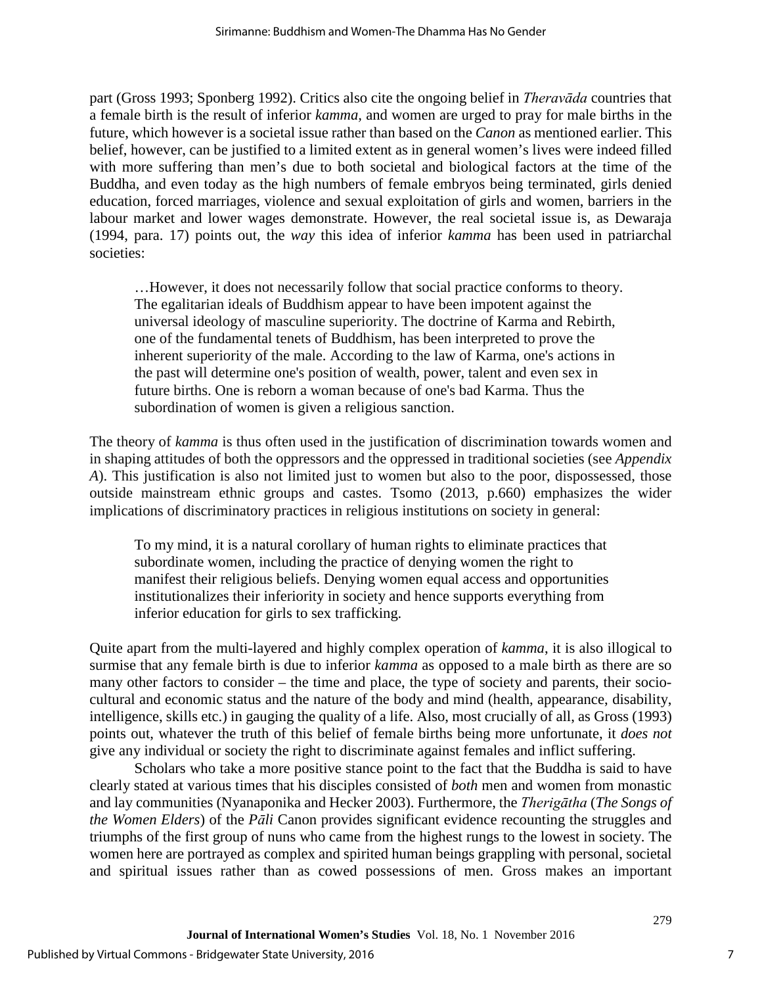part (Gross 1993; Sponberg 1992). Critics also cite the ongoing belief in *Theravāda* countries that a female birth is the result of inferior *kamma,* and women are urged to pray for male births in the future, which however is a societal issue rather than based on the *Canon* as mentioned earlier. This belief, however, can be justified to a limited extent as in general women's lives were indeed filled with more suffering than men's due to both societal and biological factors at the time of the Buddha, and even today as the high numbers of female embryos being terminated, girls denied education, forced marriages, violence and sexual exploitation of girls and women, barriers in the labour market and lower wages demonstrate. However, the real societal issue is, as Dewaraja (1994, para. 17) points out, the *way* this idea of inferior *kamma* has been used in patriarchal societies:

…However, it does not necessarily follow that social practice conforms to theory. The egalitarian ideals of Buddhism appear to have been impotent against the universal ideology of masculine superiority. The doctrine of Karma and Rebirth, one of the fundamental tenets of Buddhism, has been interpreted to prove the inherent superiority of the male. According to the law of Karma, one's actions in the past will determine one's position of wealth, power, talent and even sex in future births. One is reborn a woman because of one's bad Karma. Thus the subordination of women is given a religious sanction.

The theory of *kamma* is thus often used in the justification of discrimination towards women and in shaping attitudes of both the oppressors and the oppressed in traditional societies (see *Appendix A*). This justification is also not limited just to women but also to the poor, dispossessed, those outside mainstream ethnic groups and castes. Tsomo (2013, p.660) emphasizes the wider implications of discriminatory practices in religious institutions on society in general:

To my mind, it is a natural corollary of human rights to eliminate practices that subordinate women, including the practice of denying women the right to manifest their religious beliefs. Denying women equal access and opportunities institutionalizes their inferiority in society and hence supports everything from inferior education for girls to sex trafficking.

Quite apart from the multi-layered and highly complex operation of *kamma*, it is also illogical to surmise that any female birth is due to inferior *kamma* as opposed to a male birth as there are so many other factors to consider – the time and place, the type of society and parents, their sociocultural and economic status and the nature of the body and mind (health, appearance, disability, intelligence, skills etc.) in gauging the quality of a life. Also, most crucially of all, as Gross (1993) points out, whatever the truth of this belief of female births being more unfortunate, it *does not*  give any individual or society the right to discriminate against females and inflict suffering.

Scholars who take a more positive stance point to the fact that the Buddha is said to have clearly stated at various times that his disciples consisted of *both* men and women from monastic and lay communities (Nyanaponika and Hecker 2003). Furthermore, the *Therigātha* (*The Songs of the Women Elders*) of the *Pāli* Canon provides significant evidence recounting the struggles and triumphs of the first group of nuns who came from the highest rungs to the lowest in society. The women here are portrayed as complex and spirited human beings grappling with personal, societal and spiritual issues rather than as cowed possessions of men. Gross makes an important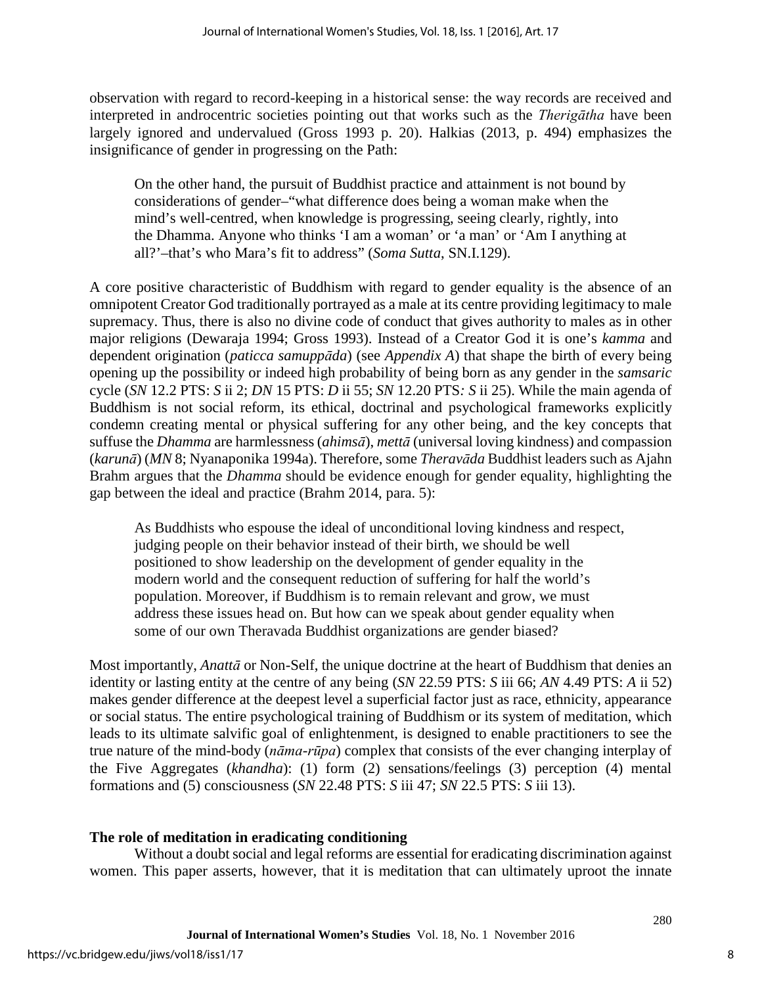observation with regard to record-keeping in a historical sense: the way records are received and interpreted in androcentric societies pointing out that works such as the *Therigātha* have been largely ignored and undervalued (Gross 1993 p. 20). Halkias (2013, p. 494) emphasizes the insignificance of gender in progressing on the Path:

On the other hand, the pursuit of Buddhist practice and attainment is not bound by considerations of gender–"what difference does being a woman make when the mind's well-centred, when knowledge is progressing, seeing clearly, rightly, into the Dhamma. Anyone who thinks 'I am a woman' or 'a man' or 'Am I anything at all?'–that's who Mara's fit to address" (*Soma Sutta*, SN.I.129).

A core positive characteristic of Buddhism with regard to gender equality is the absence of an omnipotent Creator God traditionally portrayed as a male at its centre providing legitimacy to male supremacy. Thus, there is also no divine code of conduct that gives authority to males as in other major religions (Dewaraja 1994; Gross 1993). Instead of a Creator God it is one's *kamma* and dependent origination (*paticca samuppāda*) (see *Appendix A*) that shape the birth of every being opening up the possibility or indeed high probability of being born as any gender in the *samsaric* cycle (*SN* 12.2 PTS: *S* ii 2; *DN* 15 PTS: *D* ii 55; *SN* 12.20 PTS*: S* ii 25). While the main agenda of Buddhism is not social reform, its ethical, doctrinal and psychological frameworks explicitly condemn creating mental or physical suffering for any other being, and the key concepts that suffuse the *Dhamma* are harmlessness (*ahimsā*), *mettā* (universal loving kindness) and compassion (*karunā*) (*MN* 8; Nyanaponika 1994a). Therefore, some *Theravāda* Buddhist leaders such as Ajahn Brahm argues that the *Dhamma* should be evidence enough for gender equality, highlighting the gap between the ideal and practice (Brahm 2014, para. 5):

As Buddhists who espouse the ideal of unconditional loving kindness and respect, judging people on their behavior instead of their birth, we should be well positioned to show leadership on the development of gender equality in the modern world and the consequent reduction of suffering for half the world's population. Moreover, if Buddhism is to remain relevant and grow, we must address these issues head on. But how can we speak about gender equality when some of our own Theravada Buddhist organizations are gender biased?

Most importantly, *Anattā* or Non-Self, the unique doctrine at the heart of Buddhism that denies an identity or lasting entity at the centre of any being (*SN* 22.59 PTS: *S* iii 66; *AN* 4.49 PTS: *A* ii 52) makes gender difference at the deepest level a superficial factor just as race, ethnicity, appearance or social status. The entire psychological training of Buddhism or its system of meditation, which leads to its ultimate salvific goal of enlightenment, is designed to enable practitioners to see the true nature of the mind-body (*nāma-rūpa*) complex that consists of the ever changing interplay of the Five Aggregates (*khandha*): (1) form (2) sensations/feelings (3) perception (4) mental formations and (5) consciousness (*SN* 22.48 PTS: *S* iii 47; *SN* 22.5 PTS: *S* iii 13).

## **The role of meditation in eradicating conditioning**

Without a doubt social and legal reforms are essential for eradicating discrimination against women. This paper asserts, however, that it is meditation that can ultimately uproot the innate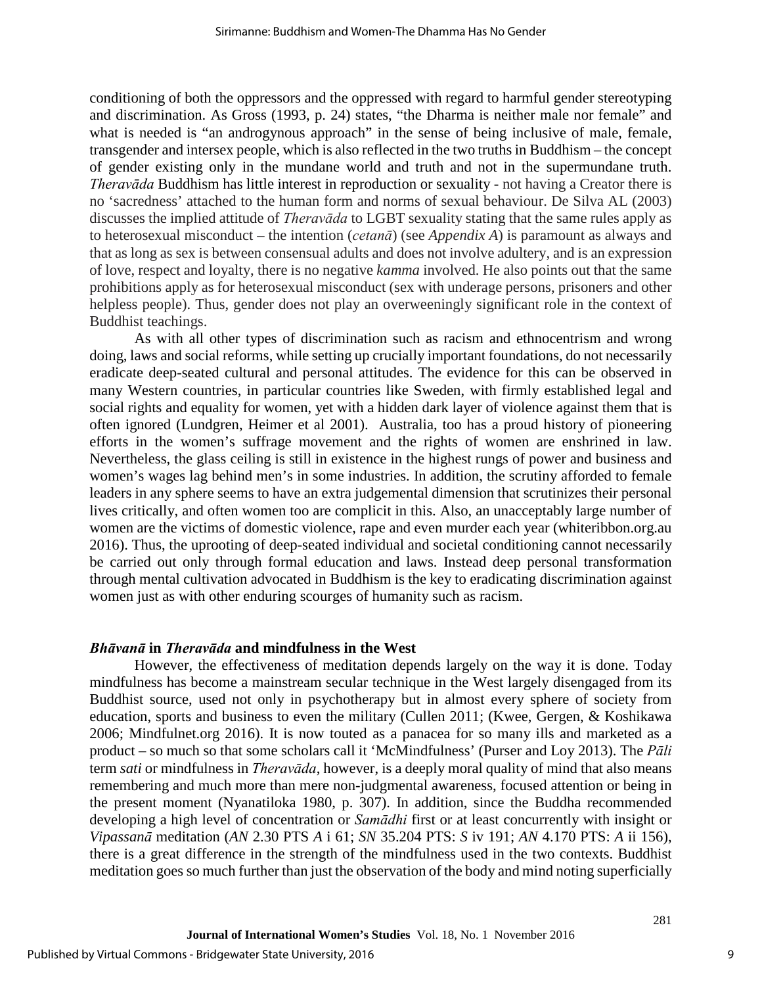conditioning of both the oppressors and the oppressed with regard to harmful gender stereotyping and discrimination. As Gross (1993, p. 24) states, "the Dharma is neither male nor female" and what is needed is "an androgynous approach" in the sense of being inclusive of male, female, transgender and intersex people, which is also reflected in the two truths in Buddhism – the concept of gender existing only in the mundane world and truth and not in the supermundane truth. *Theravāda* Buddhism has little interest in reproduction or sexuality - not having a Creator there is no 'sacredness' attached to the human form and norms of sexual behaviour. De Silva AL (2003) discusses the implied attitude of *Theravāda* to LGBT sexuality stating that the same rules apply as to heterosexual misconduct – the intention (*cetanā*) (see *Appendix A*) is paramount as always and that as long as sex is between consensual adults and does not involve adultery, and is an expression of love, respect and loyalty, there is no negative *kamma* involved. He also points out that the same prohibitions apply as for heterosexual misconduct (sex with underage persons, prisoners and other helpless people). Thus, gender does not play an overweeningly significant role in the context of Buddhist teachings.

As with all other types of discrimination such as racism and ethnocentrism and wrong doing, laws and social reforms, while setting up crucially important foundations, do not necessarily eradicate deep-seated cultural and personal attitudes. The evidence for this can be observed in many Western countries, in particular countries like Sweden, with firmly established legal and social rights and equality for women, yet with a hidden dark layer of violence against them that is often ignored (Lundgren, Heimer et al 2001). Australia, too has a proud history of pioneering efforts in the women's suffrage movement and the rights of women are enshrined in law. Nevertheless, the glass ceiling is still in existence in the highest rungs of power and business and women's wages lag behind men's in some industries. In addition, the scrutiny afforded to female leaders in any sphere seems to have an extra judgemental dimension that scrutinizes their personal lives critically, and often women too are complicit in this. Also, an unacceptably large number of women are the victims of domestic violence, rape and even murder each year (whiteribbon.org.au 2016). Thus, the uprooting of deep-seated individual and societal conditioning cannot necessarily be carried out only through formal education and laws. Instead deep personal transformation through mental cultivation advocated in Buddhism is the key to eradicating discrimination against women just as with other enduring scourges of humanity such as racism.

#### *Bhāvanā* **in** *Theravāda* **and mindfulness in the West**

However, the effectiveness of meditation depends largely on the way it is done. Today mindfulness has become a mainstream secular technique in the West largely disengaged from its Buddhist source, used not only in psychotherapy but in almost every sphere of society from education, sports and business to even the military (Cullen 2011; (Kwee, Gergen, & Koshikawa 2006; Mindfulnet.org 2016). It is now touted as a panacea for so many ills and marketed as a product – so much so that some scholars call it 'McMindfulness' (Purser and Loy 2013). The *Pāli* term *sati* or mindfulness in *Theravāda*, however, is a deeply moral quality of mind that also means remembering and much more than mere non-judgmental awareness, focused attention or being in the present moment (Nyanatiloka 1980, p. 307). In addition, since the Buddha recommended developing a high level of concentration or *Samādhi* first or at least concurrently with insight or *Vipassanā* meditation (*AN* 2.30 PTS *A* i 61; *SN* 35.204 PTS: *S* iv 191; *AN* 4.170 PTS: *A* ii 156), there is a great difference in the strength of the mindfulness used in the two contexts. Buddhist meditation goes so much further than just the observation of the body and mind noting superficially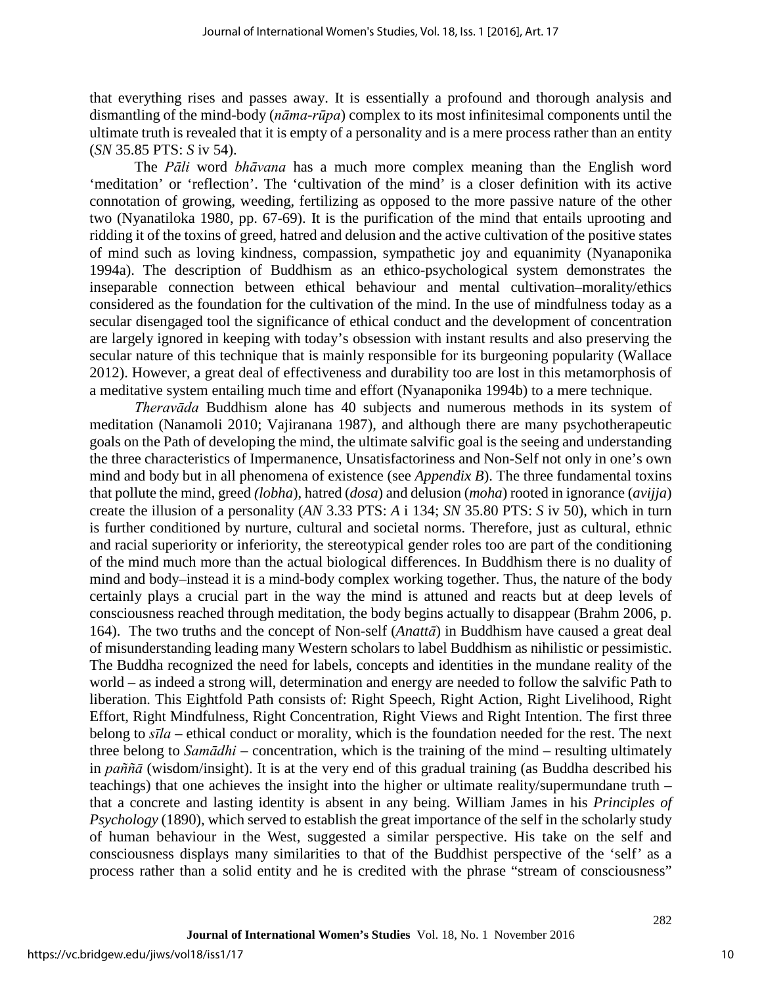that everything rises and passes away. It is essentially a profound and thorough analysis and dismantling of the mind-body (*nāma-rūpa*) complex to its most infinitesimal components until the ultimate truth is revealed that it is empty of a personality and is a mere process rather than an entity (*SN* 35.85 PTS: *S* iv 54).

The *Pāli* word *bhāvana* has a much more complex meaning than the English word 'meditation' or 'reflection'. The 'cultivation of the mind' is a closer definition with its active connotation of growing, weeding, fertilizing as opposed to the more passive nature of the other two (Nyanatiloka 1980, pp. 67-69). It is the purification of the mind that entails uprooting and ridding it of the toxins of greed, hatred and delusion and the active cultivation of the positive states of mind such as loving kindness, compassion, sympathetic joy and equanimity (Nyanaponika 1994a). The description of Buddhism as an ethico-psychological system demonstrates the inseparable connection between ethical behaviour and mental cultivation–morality/ethics considered as the foundation for the cultivation of the mind. In the use of mindfulness today as a secular disengaged tool the significance of ethical conduct and the development of concentration are largely ignored in keeping with today's obsession with instant results and also preserving the secular nature of this technique that is mainly responsible for its burgeoning popularity (Wallace 2012). However, a great deal of effectiveness and durability too are lost in this metamorphosis of a meditative system entailing much time and effort (Nyanaponika 1994b) to a mere technique.

*Theravāda* Buddhism alone has 40 subjects and numerous methods in its system of meditation (Nanamoli 2010; Vajiranana 1987), and although there are many psychotherapeutic goals on the Path of developing the mind, the ultimate salvific goal is the seeing and understanding the three characteristics of Impermanence, Unsatisfactoriness and Non-Self not only in one's own mind and body but in all phenomena of existence (see *Appendix B*). The three fundamental toxins that pollute the mind, greed *(lobha*), hatred (*dosa*) and delusion (*moha*) rooted in ignorance (*avijja*) create the illusion of a personality (*AN* 3.33 PTS: *A* i 134; *SN* 35.80 PTS: *S* iv 50), which in turn is further conditioned by nurture, cultural and societal norms. Therefore, just as cultural, ethnic and racial superiority or inferiority, the stereotypical gender roles too are part of the conditioning of the mind much more than the actual biological differences. In Buddhism there is no duality of mind and body–instead it is a mind-body complex working together. Thus, the nature of the body certainly plays a crucial part in the way the mind is attuned and reacts but at deep levels of consciousness reached through meditation, the body begins actually to disappear (Brahm 2006, p. 164). The two truths and the concept of Non-self (*Anattā*) in Buddhism have caused a great deal of misunderstanding leading many Western scholars to label Buddhism as nihilistic or pessimistic. The Buddha recognized the need for labels, concepts and identities in the mundane reality of the world – as indeed a strong will, determination and energy are needed to follow the salvific Path to liberation. This Eightfold Path consists of: Right Speech, Right Action, Right Livelihood, Right Effort, Right Mindfulness, Right Concentration, Right Views and Right Intention. The first three belong to *sīla* – ethical conduct or morality, which is the foundation needed for the rest. The next three belong to *Samādhi* – concentration, which is the training of the mind – resulting ultimately in *paññā* (wisdom/insight). It is at the very end of this gradual training (as Buddha described his teachings) that one achieves the insight into the higher or ultimate reality/supermundane truth – that a concrete and lasting identity is absent in any being. William James in his *Principles of Psychology* (1890), which served to establish the great importance of the self in the scholarly study of human behaviour in the West, suggested a similar perspective. His take on the self and consciousness displays many similarities to that of the Buddhist perspective of the 'self' as a process rather than a solid entity and he is credited with the phrase "stream of consciousness"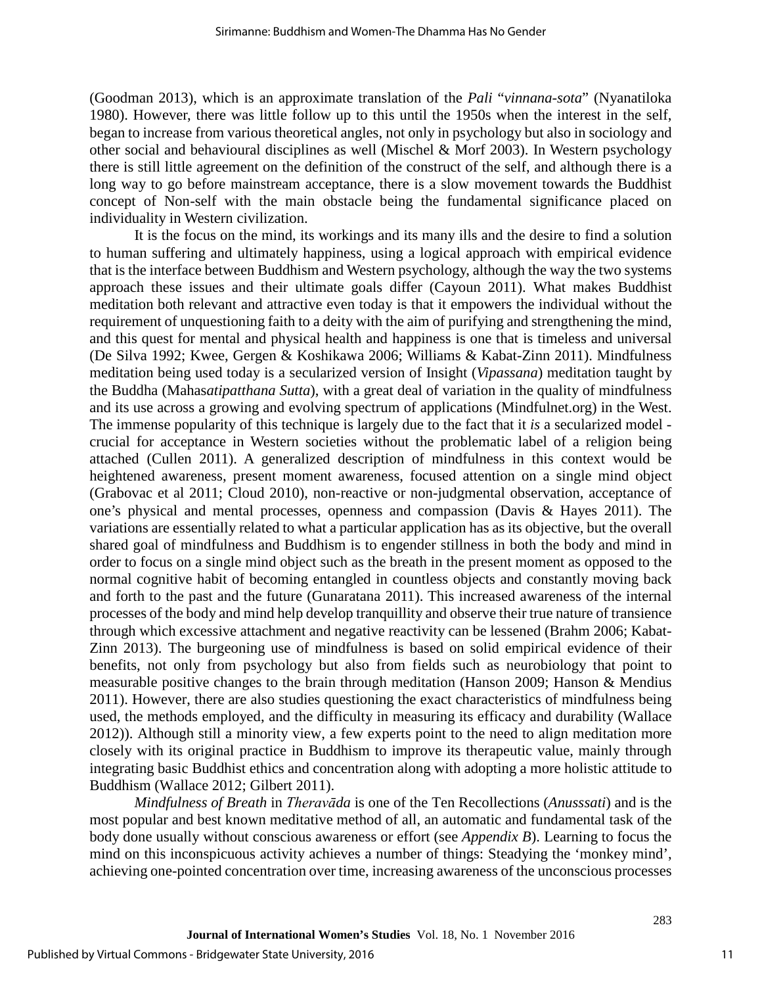(Goodman 2013), which is an approximate translation of the *Pali* "*vinnana-sota*" (Nyanatiloka 1980). However, there was little follow up to this until the 1950s when the interest in the self, began to increase from various theoretical angles, not only in psychology but also in sociology and other social and behavioural disciplines as well (Mischel & Morf 2003). In Western psychology there is still little agreement on the definition of the construct of the self, and although there is a long way to go before mainstream acceptance, there is a slow movement towards the Buddhist concept of Non-self with the main obstacle being the fundamental significance placed on individuality in Western civilization.

It is the focus on the mind, its workings and its many ills and the desire to find a solution to human suffering and ultimately happiness, using a logical approach with empirical evidence that is the interface between Buddhism and Western psychology, although the way the two systems approach these issues and their ultimate goals differ (Cayoun 2011). What makes Buddhist meditation both relevant and attractive even today is that it empowers the individual without the requirement of unquestioning faith to a deity with the aim of purifying and strengthening the mind, and this quest for mental and physical health and happiness is one that is timeless and universal (De Silva 1992; Kwee, Gergen & Koshikawa 2006; Williams & Kabat-Zinn 2011). Mindfulness meditation being used today is a secularized version of Insight (*Vipassana*) meditation taught by the Buddha (Mahas*atipatthana Sutta*), with a great deal of variation in the quality of mindfulness and its use across a growing and evolving spectrum of applications (Mindfulnet.org) in the West. The immense popularity of this technique is largely due to the fact that it *is* a secularized model crucial for acceptance in Western societies without the problematic label of a religion being attached (Cullen 2011). A generalized description of mindfulness in this context would be heightened awareness, present moment awareness, focused attention on a single mind object (Grabovac et al 2011; Cloud 2010), non-reactive or non-judgmental observation, acceptance of one's physical and mental processes, openness and compassion (Davis & Hayes 2011). The variations are essentially related to what a particular application has as its objective, but the overall shared goal of mindfulness and Buddhism is to engender stillness in both the body and mind in order to focus on a single mind object such as the breath in the present moment as opposed to the normal cognitive habit of becoming entangled in countless objects and constantly moving back and forth to the past and the future (Gunaratana 2011). This increased awareness of the internal processes of the body and mind help develop tranquillity and observe their true nature of transience through which excessive attachment and negative reactivity can be lessened (Brahm 2006; Kabat-Zinn 2013). The burgeoning use of mindfulness is based on solid empirical evidence of their benefits, not only from psychology but also from fields such as neurobiology that point to measurable positive changes to the brain through meditation (Hanson 2009; Hanson & Mendius 2011). However, there are also studies questioning the exact characteristics of mindfulness being used, the methods employed, and the difficulty in measuring its efficacy and durability (Wallace 2012)). Although still a minority view, a few experts point to the need to align meditation more closely with its original practice in Buddhism to improve its therapeutic value, mainly through integrating basic Buddhist ethics and concentration along with adopting a more holistic attitude to Buddhism (Wallace 2012; Gilbert 2011).

*Mindfulness of Breath* in *Theravāda* is one of the Ten Recollections (*Anusssati*) and is the most popular and best known meditative method of all, an automatic and fundamental task of the body done usually without conscious awareness or effort (see *Appendix B*). Learning to focus the mind on this inconspicuous activity achieves a number of things: Steadying the 'monkey mind', achieving one-pointed concentration over time, increasing awareness of the unconscious processes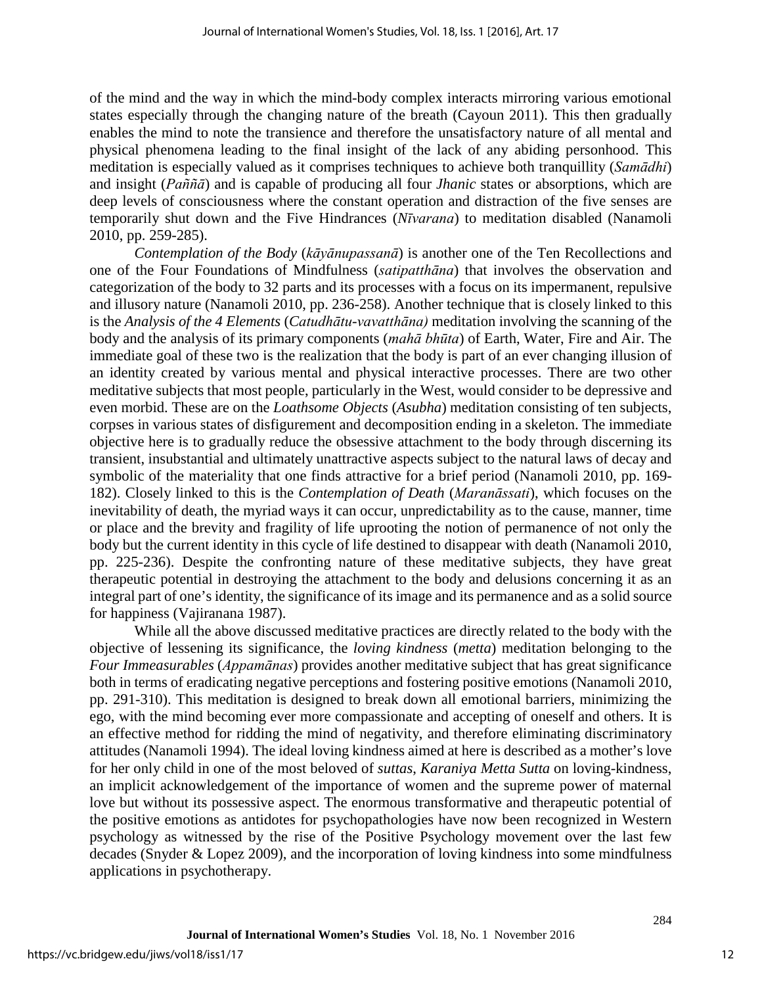of the mind and the way in which the mind-body complex interacts mirroring various emotional states especially through the changing nature of the breath (Cayoun 2011). This then gradually enables the mind to note the transience and therefore the unsatisfactory nature of all mental and physical phenomena leading to the final insight of the lack of any abiding personhood. This meditation is especially valued as it comprises techniques to achieve both tranquillity (*Samādhi*) and insight (*Paññā*) and is capable of producing all four *Jhanic* states or absorptions, which are deep levels of consciousness where the constant operation and distraction of the five senses are temporarily shut down and the Five Hindrances (*Nīvarana*) to meditation disabled (Nanamoli 2010, pp. 259-285).

*Contemplation of the Body* (*kāyānupassanā*) is another one of the Ten Recollections and one of the Four Foundations of Mindfulness (*satipatthāna*) that involves the observation and categorization of the body to 32 parts and its processes with a focus on its impermanent, repulsive and illusory nature (Nanamoli 2010, pp. 236-258). Another technique that is closely linked to this is the *Analysis of the 4 Elements* (*Catudhātu-vavatthāna)* meditation involving the scanning of the body and the analysis of its primary components (*mahā bhūta*) of Earth, Water, Fire and Air. The immediate goal of these two is the realization that the body is part of an ever changing illusion of an identity created by various mental and physical interactive processes. There are two other meditative subjects that most people, particularly in the West, would consider to be depressive and even morbid. These are on the *Loathsome Objects* (*Asubha*) meditation consisting of ten subjects, corpses in various states of disfigurement and decomposition ending in a skeleton. The immediate objective here is to gradually reduce the obsessive attachment to the body through discerning its transient, insubstantial and ultimately unattractive aspects subject to the natural laws of decay and symbolic of the materiality that one finds attractive for a brief period (Nanamoli 2010, pp. 169- 182). Closely linked to this is the *Contemplation of Death* (*Maranāssati*), which focuses on the inevitability of death, the myriad ways it can occur, unpredictability as to the cause, manner, time or place and the brevity and fragility of life uprooting the notion of permanence of not only the body but the current identity in this cycle of life destined to disappear with death (Nanamoli 2010, pp. 225-236). Despite the confronting nature of these meditative subjects, they have great therapeutic potential in destroying the attachment to the body and delusions concerning it as an integral part of one's identity, the significance of its image and its permanence and as a solid source for happiness (Vajiranana 1987).

While all the above discussed meditative practices are directly related to the body with the objective of lessening its significance, the *loving kindness* (*metta*) meditation belonging to the *Four Immeasurables* (*Appamānas*) provides another meditative subject that has great significance both in terms of eradicating negative perceptions and fostering positive emotions (Nanamoli 2010, pp. 291-310). This meditation is designed to break down all emotional barriers, minimizing the ego, with the mind becoming ever more compassionate and accepting of oneself and others. It is an effective method for ridding the mind of negativity, and therefore eliminating discriminatory attitudes (Nanamoli 1994). The ideal loving kindness aimed at here is described as a mother's love for her only child in one of the most beloved of *suttas*, *Karaniya Metta Sutta* on loving-kindness, an implicit acknowledgement of the importance of women and the supreme power of maternal love but without its possessive aspect. The enormous transformative and therapeutic potential of the positive emotions as antidotes for psychopathologies have now been recognized in Western psychology as witnessed by the rise of the Positive Psychology movement over the last few decades (Snyder & Lopez 2009), and the incorporation of loving kindness into some mindfulness applications in psychotherapy.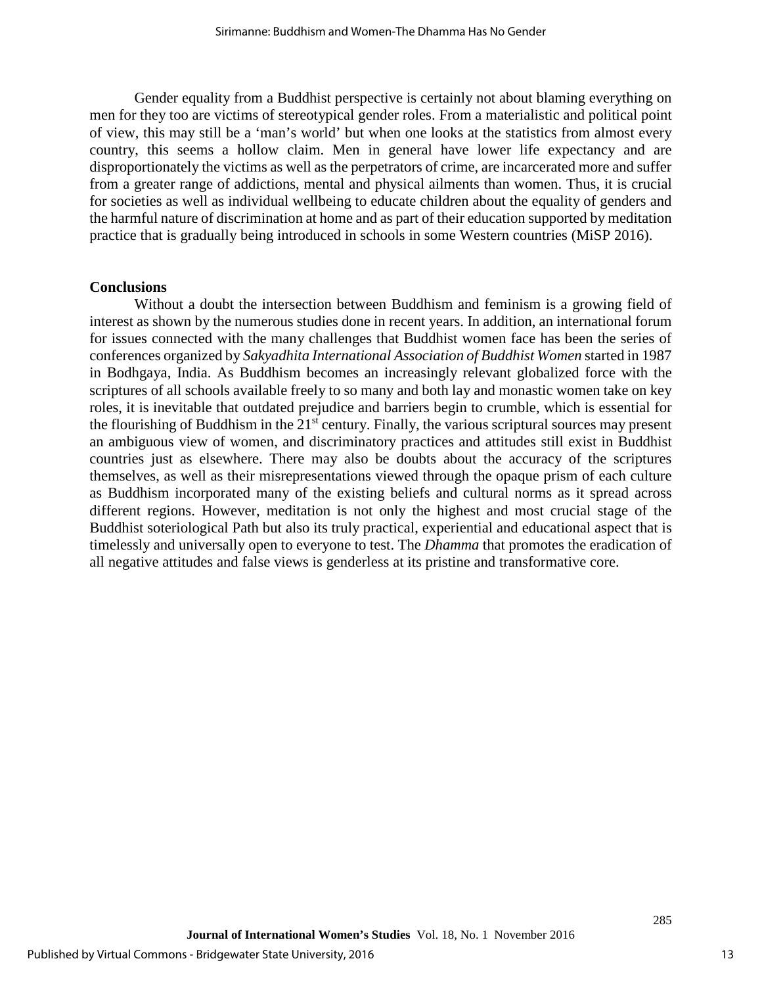Gender equality from a Buddhist perspective is certainly not about blaming everything on men for they too are victims of stereotypical gender roles. From a materialistic and political point of view, this may still be a 'man's world' but when one looks at the statistics from almost every country, this seems a hollow claim. Men in general have lower life expectancy and are disproportionately the victims as well as the perpetrators of crime, are incarcerated more and suffer from a greater range of addictions, mental and physical ailments than women. Thus, it is crucial for societies as well as individual wellbeing to educate children about the equality of genders and the harmful nature of discrimination at home and as part of their education supported by meditation practice that is gradually being introduced in schools in some Western countries (MiSP 2016).

#### **Conclusions**

Without a doubt the intersection between Buddhism and feminism is a growing field of interest as shown by the numerous studies done in recent years. In addition, an international forum for issues connected with the many challenges that Buddhist women face has been the series of conferences organized by *Sakyadhita International Association of Buddhist Women* started in 1987 in Bodhgaya, India. As Buddhism becomes an increasingly relevant globalized force with the scriptures of all schools available freely to so many and both lay and monastic women take on key roles, it is inevitable that outdated prejudice and barriers begin to crumble, which is essential for the flourishing of Buddhism in the 21<sup>st</sup> century. Finally, the various scriptural sources may present an ambiguous view of women, and discriminatory practices and attitudes still exist in Buddhist countries just as elsewhere. There may also be doubts about the accuracy of the scriptures themselves, as well as their misrepresentations viewed through the opaque prism of each culture as Buddhism incorporated many of the existing beliefs and cultural norms as it spread across different regions. However, meditation is not only the highest and most crucial stage of the Buddhist soteriological Path but also its truly practical, experiential and educational aspect that is timelessly and universally open to everyone to test. The *Dhamma* that promotes the eradication of all negative attitudes and false views is genderless at its pristine and transformative core.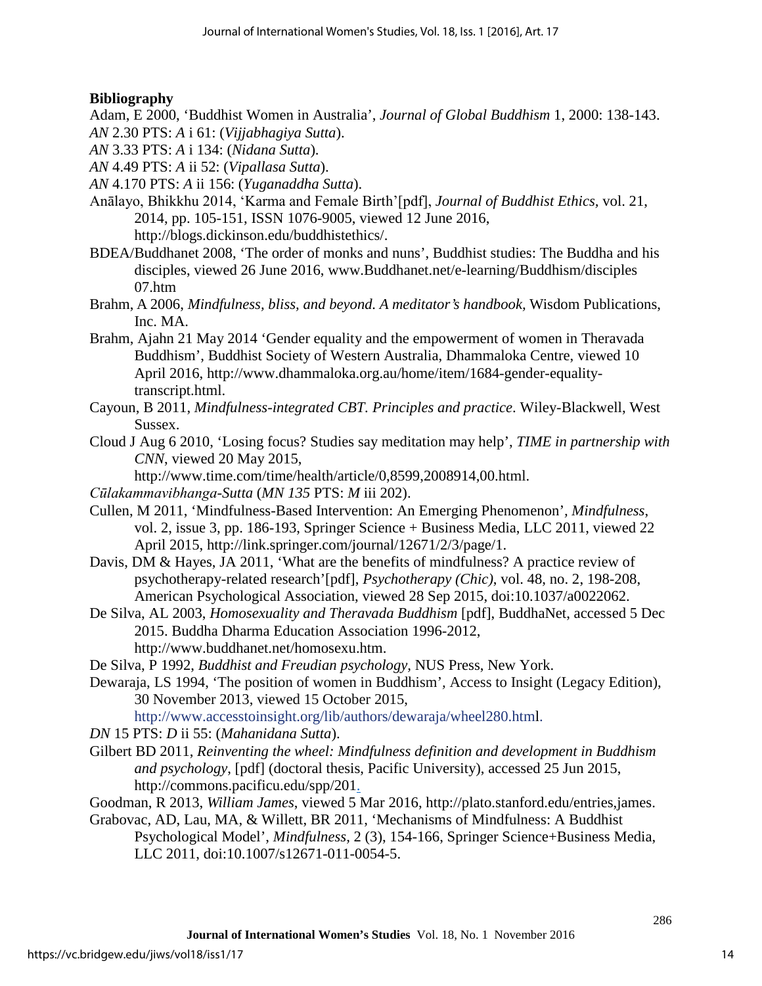## **Bibliography**

Adam, E 2000, 'Buddhist Women in Australia', *Journal of Global Buddhism* 1, 2000: 138-143. *AN* 2.30 PTS: *A* i 61: (*Vijjabhagiya Sutta*).

- *AN* 3.33 PTS: *A* i 134: (*Nidana Sutta*).
- *AN* 4.49 PTS: *A* ii 52: (*Vipallasa Sutta*).
- *AN* 4.170 PTS: *A* ii 156: (*Yuganaddha Sutta*).
- Anālayo, Bhikkhu 2014, 'Karma and Female Birth'[pdf], *Journal of Buddhist Ethics,* vol. 21, 2014, pp. 105-151, ISSN 1076-9005, viewed 12 June 2016, [http://blogs.dickinson.edu/buddhistethics/.](http://blogs.dickinson.edu/buddhistethics/)
- BDEA/Buddhanet 2008, 'The order of monks and nuns', Buddhist studies: The Buddha and his disciples, viewed 26 June 2016, [www.Buddhanet.net/e-learning/Buddhism/disciples](http://www.buddhanet.net/e-learning/Buddhism/disciples%2007.htm)  [07.htm](http://www.buddhanet.net/e-learning/Buddhism/disciples%2007.htm)
- Brahm, A 2006, *Mindfulness, bliss, and beyond. A meditator's handbook,* Wisdom Publications, Inc. MA.
- Brahm, Ajahn 21 May 2014 'Gender equality and the empowerment of women in Theravada Buddhism', Buddhist Society of Western Australia, Dhammaloka Centre, viewed 10 April 2016, [http://www.dhammaloka.org.au/home/item/1684-gender-equality](http://www.dhammaloka.org.au/home/item/1684-gender-equality-transcript.html)[transcript.html.](http://www.dhammaloka.org.au/home/item/1684-gender-equality-transcript.html)
- Cayoun, B 2011, *Mindfulness-integrated CBT. Principles and practice*. Wiley-Blackwell, West Sussex.
- Cloud J Aug 6 2010, 'Losing focus? Studies say meditation may help', *TIME in partnership with CNN*, viewed 20 May 2015,

http://www.time.com/time/health/article/0,8599,2008914,00.html.

- *Cūlakammavibhanga-Sutta* (*MN 135* PTS: *M* iii 202).
- Cullen, M 2011, 'Mindfulness-Based Intervention: An Emerging Phenomenon'*, Mindfulness*, vol. 2, issue 3, pp. 186-193, Springer Science + Business Media, LLC 2011, viewed 22 April 2015, [http://link.springer.com/journal/12671/2/3/page/1.](http://link.springer.com/journal/12671/2/3/page/1)
- Davis, DM & Hayes, JA 2011, 'What are the benefits of mindfulness? A practice review of psychotherapy-related research'[pdf], *Psychotherapy (Chic)*, vol. 48, no. 2, 198-208, American Psychological Association, viewed 28 Sep 2015, doi:10.1037/a0022062.
- De Silva, AL 2003, *Homosexuality and Theravada Buddhism* [pdf], BuddhaNet, accessed 5 Dec 2015. Buddha Dharma Education Association 1996-2012, http://www.buddhanet.net/homosexu.htm.
- De Silva, P 1992, *Buddhist and Freudian psychology,* NUS Press, New York.
- Dewaraja, LS 1994, 'The position of women in Buddhism'*,* Access to Insight (Legacy Edition), 30 November 2013, viewed 15 October 2015,

[http://www.accesstoinsight.org/lib/authors/dewaraja/wheel280.html.](http://www.accesstoinsight.org/lib/authors/dewaraja/wheel280.html)

*DN* 15 PTS: *D* ii 55: (*Mahanidana Sutta*).

- Gilbert BD 2011, *Reinventing the wheel: Mindfulness definition and development in Buddhism and psychology*, [pdf] (doctoral thesis, Pacific University), accessed 25 Jun 2015, http://commons.pacificu.edu/spp/201.
- Goodman, R 2013, *William James*, viewed 5 Mar 2016, http://plato.stanford.edu/entries,james.
- Grabovac, AD, Lau, MA, & Willett, BR 2011, 'Mechanisms of Mindfulness: A Buddhist Psychological Model', *Mindfulness,* 2 (3), 154-166, Springer Science+Business Media, LLC 2011, doi:10.1007/s12671-011-0054-5.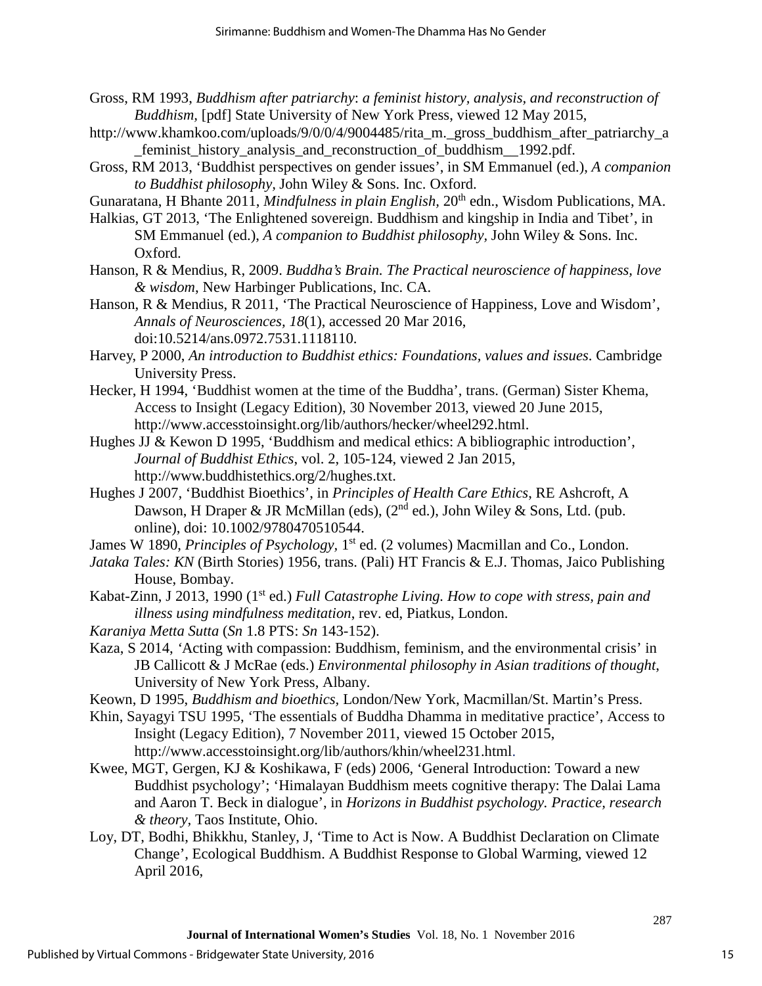- Gross, RM 1993, *Buddhism after patriarchy*: *a feminist history, analysis, and reconstruction of Buddhism,* [pdf] State University of New York Press, viewed 12 May 2015,
- http://www.khamkoo.com/uploads/9/0/0/4/9004485/rita\_m.\_gross\_buddhism\_after\_patriarchy\_a \_feminist\_history\_analysis\_and\_reconstruction\_of\_buddhism\_\_1992.pdf.
- Gross, RM 2013, 'Buddhist perspectives on gender issues', in SM Emmanuel (ed.), *A companion to Buddhist philosophy,* John Wiley & Sons. Inc. Oxford.
- Gunaratana, H Bhante 2011, *Mindfulness in plain English*, 20<sup>th</sup> edn., Wisdom Publications, MA.
- Halkias, GT 2013, 'The Enlightened sovereign. Buddhism and kingship in India and Tibet', in SM Emmanuel (ed.), *A companion to Buddhist philosophy,* John Wiley & Sons. Inc. Oxford.
- Hanson, R & Mendius, R, 2009. *Buddha's Brain. The Practical neuroscience of happiness, love & wisdom*, New Harbinger Publications, Inc. CA.
- Hanson, R & Mendius, R 2011, 'The Practical Neuroscience of Happiness, Love and Wisdom', *Annals of Neurosciences, 18*(1), accessed 20 Mar 2016, doi:10.5214/ans.0972.7531.1118110.
- Harvey, P 2000, *An introduction to Buddhist ethics: Foundations, values and issues*. Cambridge University Press.
- Hecker, H 1994, 'Buddhist women at the time of the Buddha', trans. (German) Sister Khema, Access to Insight (Legacy Edition), 30 November 2013, viewed 20 June 2015, [http://www.accesstoinsight.org/lib/authors/hecker/wheel292.html.](http://www.accesstoinsight.org/lib/authors/hecker/wheel292.html)
- Hughes JJ & Kewon D 1995, 'Buddhism and medical ethics: A bibliographic introduction', *Journal of Buddhist Ethics*, vol. 2, 105-124, viewed 2 Jan 2015, http://www.buddhistethics.org/2/hughes.txt.
- Hughes J 2007, 'Buddhist Bioethics', in *Principles of Health Care Ethics*, RE Ashcroft, A Dawson, H Draper & JR McMillan (eds), (2<sup>nd</sup> ed.), John Wiley & Sons, Ltd. (pub. online), doi: 10.1002/9780470510544.
- James W 1890, *Principles of Psychology*, 1<sup>st</sup> ed. (2 volumes) Macmillan and Co., London.
- *Jataka Tales: KN* (Birth Stories) 1956*,* trans. (Pali) HT Francis & E.J. Thomas, Jaico Publishing House, Bombay.
- Kabat-Zinn, J 2013, 1990 (1st ed.) *Full Catastrophe Living. How to cope with stress, pain and illness using mindfulness meditation*, rev. ed, Piatkus, London.
- *Karaniya Metta Sutta* (*Sn* 1.8 PTS: *Sn* 143-152).
- Kaza, S 2014, *'*Acting with compassion: Buddhism, feminism, and the environmental crisis' in JB Callicott & J McRae (eds.) *Environmental philosophy in Asian traditions of thought*, University of New York Press, Albany.
- Keown, D 1995, *Buddhism and bioethics,* London/New York, Macmillan/St. Martin's Press.
- Khin, Sayagyi TSU 1995, 'The essentials of Buddha Dhamma in meditative practice', Access to Insight (Legacy Edition), 7 November 2011, viewed 15 October 2015,
	- [http://www.accesstoinsight.org/lib/authors/khin/wheel231.html.](http://www.accesstoinsight.org/lib/authors/khin/wheel231.html)
- Kwee, MGT, Gergen, KJ & Koshikawa, F (eds) 2006, 'General Introduction: Toward a new Buddhist psychology'; 'Himalayan Buddhism meets cognitive therapy: The Dalai Lama and Aaron T. Beck in dialogue', in *Horizons in Buddhist psychology. Practice, research & theory,* Taos Institute, Ohio.
- Loy, DT, Bodhi, Bhikkhu, Stanley, J, 'Time to Act is Now. A Buddhist Declaration on Climate Change', Ecological Buddhism. A Buddhist Response to Global Warming, viewed 12 April 2016,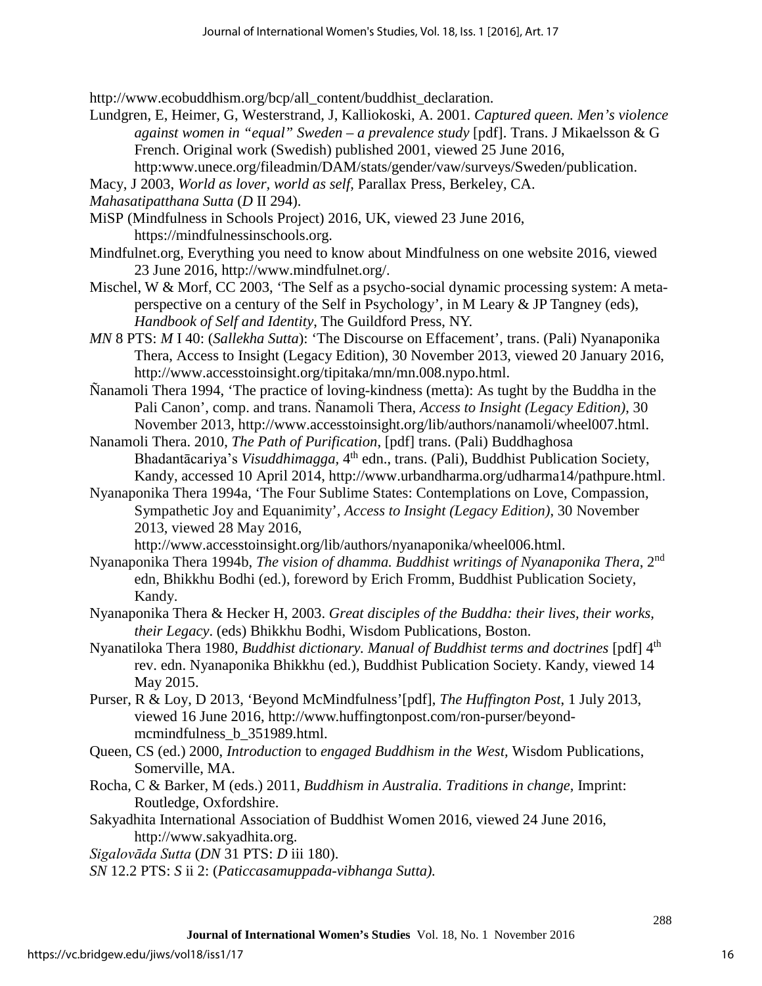[http://www.ecobuddhism.org/bcp/all\\_content/buddhist\\_declaration.](http://www.ecobuddhism.org/bcp/all_content/buddhist_declaration)

- Lundgren, E, Heimer, G, Westerstrand, J, Kalliokoski, A. 2001. *Captured queen. Men's violence against women in "equal" Sweden – a prevalence study* [pdf]. Trans. J Mikaelsson & G French. Original work (Swedish) published 2001, viewed 25 June 2016, http:www.unece.org/fileadmin/DAM/stats/gender/vaw/surveys/Sweden/publication.
- Macy, J 2003, *World as lover, world as self,* Parallax Press, Berkeley, CA.

*Mahasatipatthana Sutta* (*D* II 294).

- MiSP (Mindfulness in Schools Project) 2016, UK, viewed 23 June 2016, [https://mindfulnessinschools.org.](https://mindfulnessinschools.org/)
- Mindfulnet.org, Everything you need to know about Mindfulness on one website 2016, viewed 23 June 2016, [http://www.mindfulnet.org/.](http://www.mindfulnet.org/)
- Mischel, W & Morf, CC 2003, 'The Self as a psycho-social dynamic processing system: A metaperspective on a century of the Self in Psychology', in M Leary & JP Tangney (eds), *Handbook of Self and Identity*, The Guildford Press, NY.
- *MN* 8 PTS: *M* I 40: (*Sallekha Sutta*): 'The Discourse on Effacement', trans. (Pali) Nyanaponika Thera, Access to Insight (Legacy Edition), 30 November 2013, viewed 20 January 2016, [http://www.accesstoinsight.org/tipitaka/mn/mn.008.nypo.html.](http://www.accesstoinsight.org/tipitaka/mn/mn.008.nypo.html)

Ñanamoli Thera 1994, 'The practice of loving-kindness (metta): As tught by the Buddha in the Pali Canon', comp. and trans. Ñanamoli Thera, *Access to Insight (Legacy Edition)*, 30 November 2013, http://www.accesstoinsight.org/lib/authors/nanamoli/wheel007.html.

Nanamoli Thera. 2010, *The Path of Purification*, [pdf] trans. (Pali) Buddhaghosa Bhadantācariya's *Visuddhimagga*, 4<sup>th</sup> edn., trans. (Pali), Buddhist Publication Society, Kandy, accessed 10 April 2014, http://www.urbandharma.org/udharma14/pathpure.html.

Nyanaponika Thera 1994a, 'The Four Sublime States: Contemplations on Love, Compassion, Sympathetic Joy and Equanimity'*, Access to Insight (Legacy Edition)*, 30 November 2013, viewed 28 May 2016,

http://www.accesstoinsight.org/lib/authors/nyanaponika/wheel006.html.

- Nyanaponika Thera 1994b, *The vision of dhamma. Buddhist writings of Nyanaponika Thera*, 2nd edn, Bhikkhu Bodhi (ed.), foreword by Erich Fromm, Buddhist Publication Society, Kandy.
- Nyanaponika Thera & Hecker H, 2003. *Great disciples of the Buddha: their lives, their works, their Legacy*. (eds) Bhikkhu Bodhi, Wisdom Publications, Boston.
- Nyanatiloka Thera 1980, *Buddhist dictionary. Manual of Buddhist terms and doctrines* [pdf] 4<sup>th</sup> rev. edn. Nyanaponika Bhikkhu (ed.), Buddhist Publication Society. Kandy, viewed 14 May 2015.
- Purser, R & Loy, D 2013, 'Beyond McMindfulness'[pdf], *The Huffington Post*, 1 July 2013, viewed 16 June 2016, http://www.huffingtonpost.com/ron-purser/beyondmcmindfulness b 351989.html.
- Queen, CS (ed.) 2000, *Introduction* to *engaged Buddhism in the West,* Wisdom Publications, Somerville, MA.
- Rocha, C & Barker, M (eds.) 2011, *Buddhism in Australia. Traditions in change,* Imprint: Routledge, Oxfordshire.
- Sakyadhita International Association of Buddhist Women 2016, viewed 24 June 2016, http://www.sakyadhita.org.

*Sigalovāda Sutta* (*DN* 31 PTS: *D* iii 180).

*SN* 12.2 PTS: *S* ii 2: (*Paticcasamuppada-vibhanga Sutta).*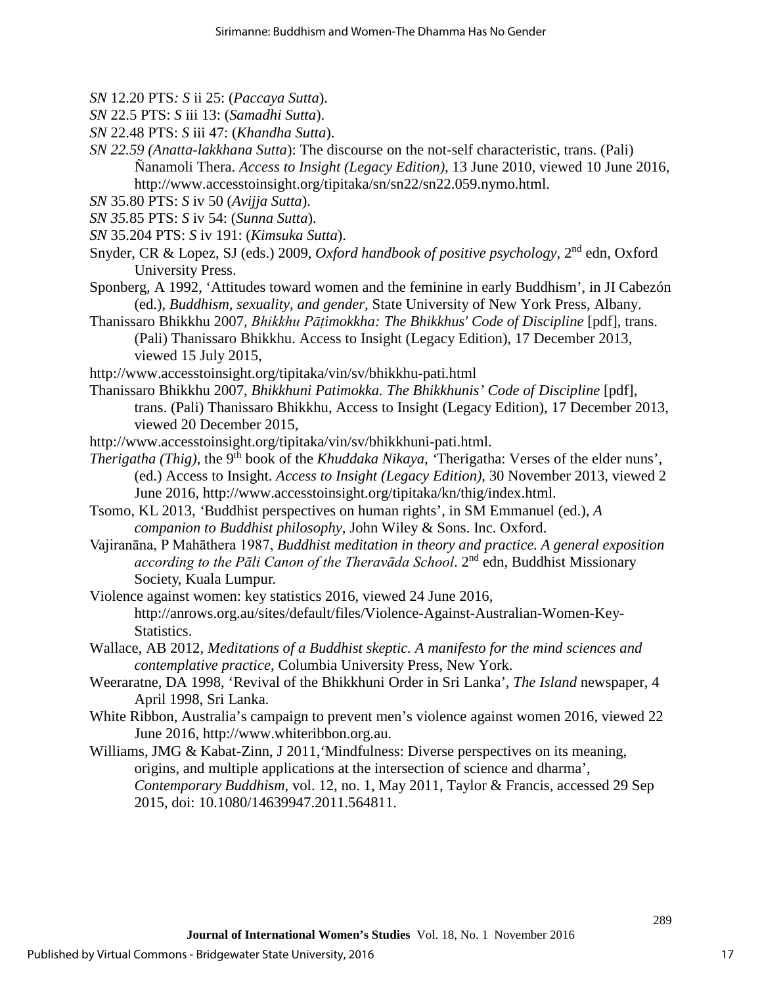- *SN* 12.20 PTS*: S* ii 25: (*Paccaya Sutta*).
- *SN* 22.5 PTS: *S* iii 13: (*Samadhi Sutta*).
- *SN* 22.48 PTS: *S* iii 47: (*Khandha Sutta*).
- *SN 22.59 (Anatta-lakkhana Sutta*): The discourse on the not-self characteristic, trans. (Pali) Ñanamoli Thera. *Access to Insight (Legacy Edition)*, 13 June 2010, viewed 10 June 2016, http://www.accesstoinsight.org/tipitaka/sn/sn22/sn22.059.nymo.html.
- *SN* 35.80 PTS: *S* iv 50 (*Avijja Sutta*).
- *SN 35.*85 PTS: *S* iv 54: (*Sunna Sutta*).
- *SN* 35.204 PTS: *S* iv 191: (*Kimsuka Sutta*).
- Snyder, CR & Lopez, SJ (eds.) 2009, *Oxford handbook of positive psychology,* 2nd edn, Oxford University Press.
- Sponberg, A 1992, 'Attitudes toward women and the feminine in early Buddhism', in JI Cabezón (ed.), *Buddhism, sexuality, and gender,* State University of New York Press, Albany.
- Thanissaro Bhikkhu 2007, *Bhikkhu Pāṭimokkha: The Bhikkhus' Code of Discipline* [pdf], trans. (Pali) Thanissaro Bhikkhu. Access to Insight (Legacy Edition), 17 December 2013, viewed 15 July 2015,
- <http://www.accesstoinsight.org/tipitaka/vin/sv/bhikkhu-pati.html>
- Thanissaro Bhikkhu 2007, *Bhikkhuni Patimokka. The Bhikkhunis' Code of Discipline* [pdf], trans. (Pali) Thanissaro Bhikkhu, Access to Insight (Legacy Edition), 17 December 2013, viewed 20 December 2015,
- http://www.accesstoinsight.org/tipitaka/vin/sv/bhikkhuni-pati.html.
- *Therigatha (Thig)*, the 9<sup>th</sup> book of the *Khuddaka Nikaya*, <sup>*Therigatha: Verses of the elder nuns'*,</sup> (ed.) Access to Insight. *Access to Insight (Legacy Edition)*, 30 November 2013, viewed 2 June 2016, http://www.accesstoinsight.org/tipitaka/kn/thig/index.html.
- Tsomo, KL 2013, *'*Buddhist perspectives on human rights', in SM Emmanuel (ed.), *A companion to Buddhist philosophy,* John Wiley & Sons. Inc. Oxford.
- Vajiranāna, P Mahāthera 1987, *Buddhist meditation in theory and practice. A general exposition according to the Pāli Canon of the Theravāda School*. 2nd edn, Buddhist Missionary Society, Kuala Lumpur.
- Violence against women: key statistics 2016, viewed 24 June 2016, http://anrows.org.au/sites/default/files/Violence-Against-Australian-Women-Key-Statistics.
- Wallace, AB 2012, *Meditations of a Buddhist skeptic. A manifesto for the mind sciences and contemplative practice,* Columbia University Press, New York.
- Weeraratne, DA 1998, 'Revival of the Bhikkhuni Order in Sri Lanka', *The Island* newspaper, 4 April 1998, Sri Lanka.
- White Ribbon, Australia's campaign to prevent men's violence against women 2016, viewed 22 June 2016, http://www.whiteribbon.org.au.
- Williams, JMG & Kabat-Zinn, J 2011,'Mindfulness: Diverse perspectives on its meaning, origins, and multiple applications at the intersection of science and dharma', *Contemporary Buddhism*, vol. 12, no. 1, May 2011, Taylor & Francis, accessed 29 Sep 2015, doi: 10.1080/14639947.2011.564811.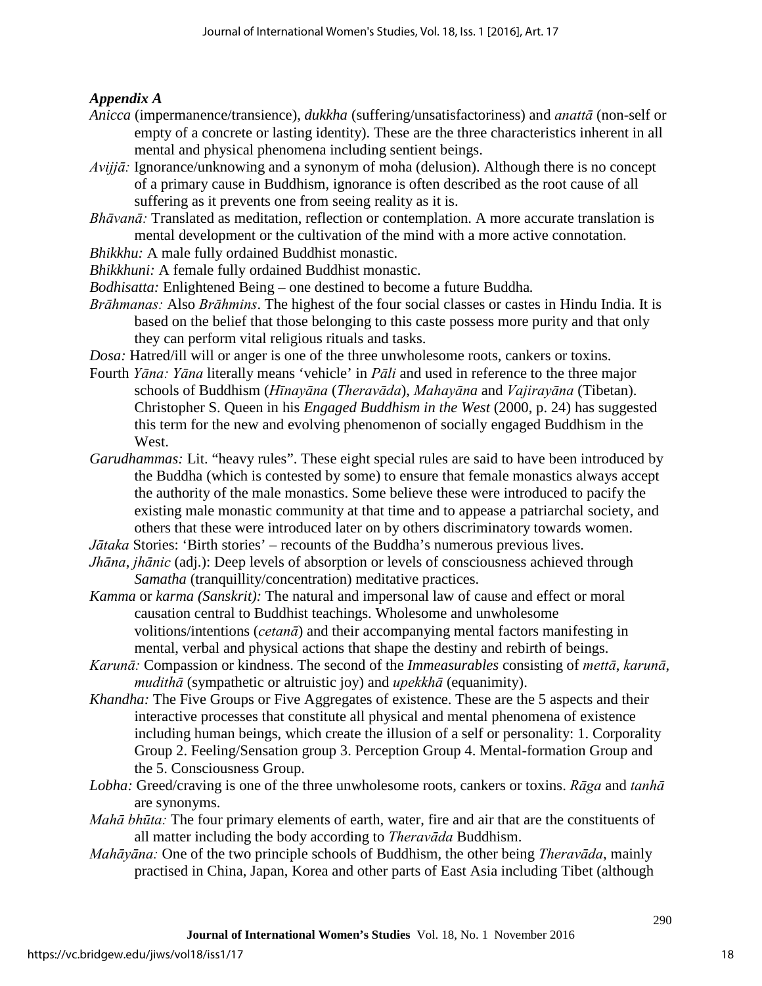## *Appendix A*

- *Anicca* (impermanence/transience), *dukkha* (suffering/unsatisfactoriness) and *anattā* (non-self or empty of a concrete or lasting identity). These are the three characteristics inherent in all mental and physical phenomena including sentient beings.
- *Avijjā:* Ignorance/unknowing and a synonym of moha (delusion). Although there is no concept of a primary cause in Buddhism, ignorance is often described as the root cause of all suffering as it prevents one from seeing reality as it is.
- *Bhāvanā:* Translated as meditation, reflection or contemplation. A more accurate translation is mental development or the cultivation of the mind with a more active connotation.
- *Bhikkhu:* A male fully ordained Buddhist monastic.
- *Bhikkhuni:* A female fully ordained Buddhist monastic.
- *Bodhisatta:* Enlightened Being one destined to become a future Buddha*.*
- *Brāhmanas:* Also *Brāhmins*. The highest of the four social classes or castes in Hindu India. It is based on the belief that those belonging to this caste possess more purity and that only they can perform vital religious rituals and tasks.
- *Dosa:* Hatred/ill will or anger is one of the three unwholesome roots, cankers or toxins.
- Fourth *Yāna: Yāna* literally means 'vehicle' in *Pāli* and used in reference to the three major schools of Buddhism (*Hīnayāna* (*Theravāda*), *Mahayāna* and *Vajirayāna* (Tibetan). Christopher S. Queen in his *Engaged Buddhism in the West* (2000, p. 24) has suggested this term for the new and evolving phenomenon of socially engaged Buddhism in the West.
- *Garudhammas:* Lit. "heavy rules". These eight special rules are said to have been introduced by the Buddha (which is contested by some) to ensure that female monastics always accept the authority of the male monastics. Some believe these were introduced to pacify the existing male monastic community at that time and to appease a patriarchal society, and others that these were introduced later on by others discriminatory towards women.
- *Jātaka* Stories: 'Birth stories' recounts of the Buddha's numerous previous lives.
- *Jhāna*, *jhānic* (adj.): Deep levels of absorption or levels of consciousness achieved through *Samatha* (tranquillity/concentration) meditative practices.
- *Kamma* or *karma (Sanskrit):* The natural and impersonal law of cause and effect or moral causation central to Buddhist teachings. Wholesome and unwholesome volitions/intentions (*cetanā*) and their accompanying mental factors manifesting in mental, verbal and physical actions that shape the destiny and rebirth of beings.
- *Karunā:* Compassion or kindness. The second of the *Immeasurables* consisting of *mettā*, *karunā*, *mudithā* (sympathetic or altruistic joy) and *upekkhā* (equanimity).
- *Khandha:* The Five Groups or Five Aggregates of existence. These are the 5 aspects and their interactive processes that constitute all physical and mental phenomena of existence including human beings, which create the illusion of a self or personality: 1. Corporality Group 2. Feeling/Sensation group 3. Perception Group 4. Mental-formation Group and the 5. Consciousness Group.
- *Lobha:* Greed/craving is one of the three unwholesome roots, cankers or toxins. *Rāga* and *tanhā* are synonyms.
- *Mahā bhūta:* The four primary elements of earth, water, fire and air that are the constituents of all matter including the body according to *Theravāda* Buddhism.
- *Mahāyāna:* One of the two principle schools of Buddhism, the other being *Theravāda*, mainly practised in China, Japan, Korea and other parts of East Asia including Tibet (although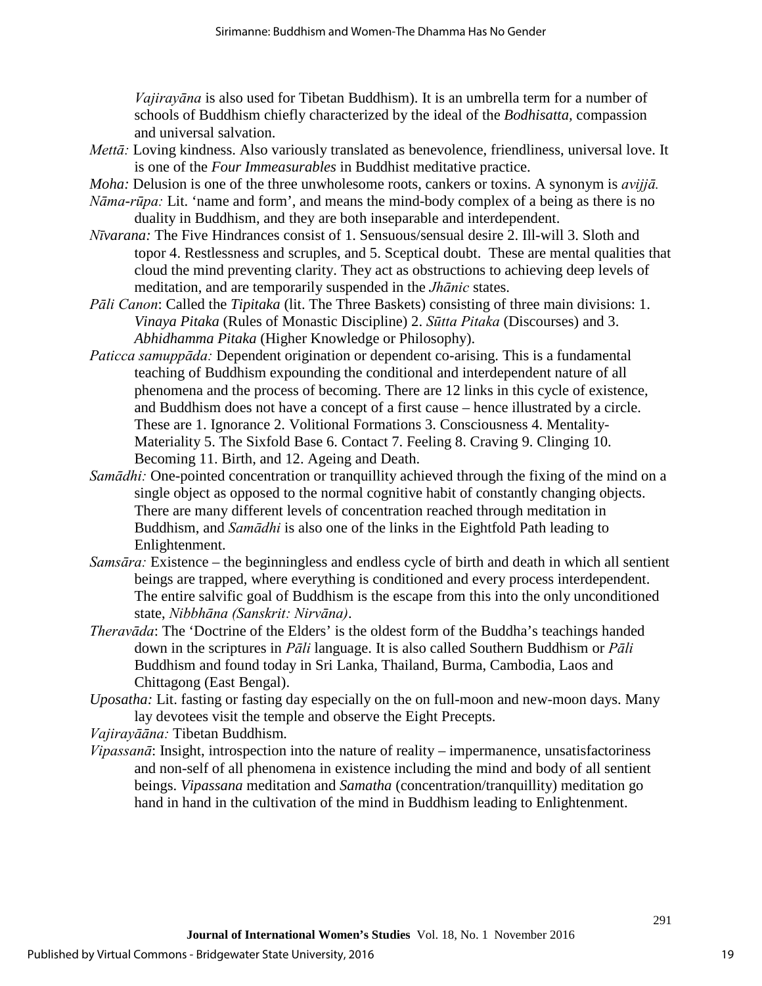*Vajirayāna* is also used for Tibetan Buddhism). It is an umbrella term for a number of schools of Buddhism chiefly characterized by the ideal of the *Bodhisatta,* compassion and universal salvation.

- *Mettā:* Loving kindness. Also variously translated as benevolence, friendliness, universal love. It is one of the *Four Immeasurables* in Buddhist meditative practice.
- *Moha:* Delusion is one of the three unwholesome roots, cankers or toxins. A synonym is *avijjā.*
- *Nāma-rūpa:* Lit. 'name and form', and means the mind-body complex of a being as there is no duality in Buddhism, and they are both inseparable and interdependent.
- *Nīvarana:* The Five Hindrances consist of 1. Sensuous/sensual desire 2. Ill-will 3. Sloth and topor 4. Restlessness and scruples, and 5. Sceptical doubt. These are mental qualities that cloud the mind preventing clarity. They act as obstructions to achieving deep levels of meditation, and are temporarily suspended in the *Jhānic* states.
- *Pāli Canon*: Called the *Tipitaka* (lit. The Three Baskets) consisting of three main divisions: 1. *Vinaya Pitaka* (Rules of Monastic Discipline) 2. *Sūtta Pitaka* (Discourses) and 3. *Abhidhamma Pitaka* (Higher Knowledge or Philosophy).
- *Paticca samuppāda:* Dependent origination or dependent co-arising. This is a fundamental teaching of Buddhism expounding the conditional and interdependent nature of all phenomena and the process of becoming. There are 12 links in this cycle of existence, and Buddhism does not have a concept of a first cause – hence illustrated by a circle. These are 1. Ignorance 2. Volitional Formations 3. Consciousness 4. Mentality-Materiality 5. The Sixfold Base 6. Contact 7. Feeling 8. Craving 9. Clinging 10. Becoming 11. Birth, and 12. Ageing and Death.
- *Samādhi:* One-pointed concentration or tranquillity achieved through the fixing of the mind on a single object as opposed to the normal cognitive habit of constantly changing objects. There are many different levels of concentration reached through meditation in Buddhism, and *Samādhi* is also one of the links in the Eightfold Path leading to Enlightenment.
- *Samsāra:* Existence the beginningless and endless cycle of birth and death in which all sentient beings are trapped, where everything is conditioned and every process interdependent. The entire salvific goal of Buddhism is the escape from this into the only unconditioned state, *Nibbhāna (Sanskrit: Nirvāna)*.
- *Theravāda*: The 'Doctrine of the Elders' is the oldest form of the Buddha's teachings handed down in the scriptures in *Pāli* language. It is also called Southern Buddhism or *Pāli* Buddhism and found today in Sri Lanka, Thailand, Burma, Cambodia, Laos and Chittagong (East Bengal).
- *Uposatha:* Lit. fasting or fasting day especially on the on full-moon and new-moon days. Many lay devotees visit the temple and observe the Eight Precepts.

*Vajirayāāna:* Tibetan Buddhism*.* 

*Vipassanā*: Insight, introspection into the nature of reality – impermanence, unsatisfactoriness and non-self of all phenomena in existence including the mind and body of all sentient beings. *Vipassana* meditation and *Samatha* (concentration/tranquillity) meditation go hand in hand in the cultivation of the mind in Buddhism leading to Enlightenment.